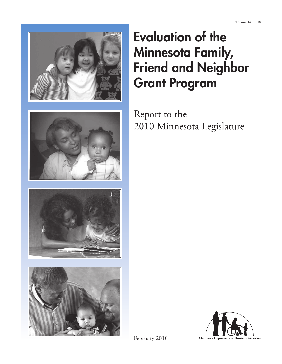







# Evaluation of the Minnesota Family, Friend and Neighbor Grant Program

Report to the 2010 Minnesota Legislature



February 2010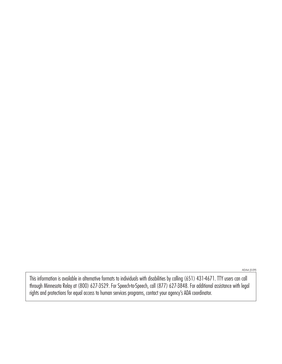ADA4 (5-09)

This information is available in alternative formats to individuals with disabilities by calling (651) 431-4671. TTY users can call through Minnesota Relay at (800) 627-3529. For Speech-to-Speech, call (877) 627-3848. For additional assistance with legal rights and protections for equal access to human services programs, contact your agency's ADA coordinator.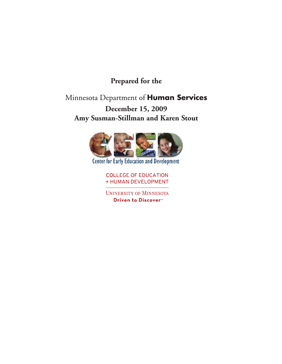# **Prepared for the**

# Minnesota Department of Human Services

# **December 15, 2009 Amy Susman-Stillman and Karen Stout**



**Center for Early Education and Development** 

**COLLEGE OF EDUCATION** + HUMAN DEVELOPMENT

**UNIVERSITY OF MINNESOTA** Driven to Discover<sup>54</sup>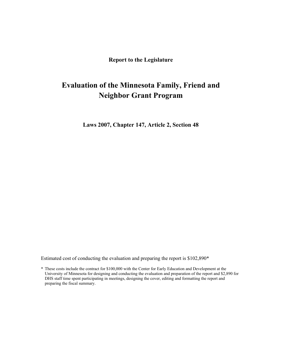**Report to the Legislature** 

# **Evaluation of the Minnesota Family, Friend and Neighbor Grant Program**

**Laws 2007, Chapter 147, Article 2, Section 48**

Estimated cost of conducting the evaluation and preparing the report is \$102,890\*

\* These costs include the contract for \$100,000 with the Center for Early Education and Development at the University of Minnesota for designing and conducting the evaluation and preparation of the report and \$2,890 for DHS staff time spent participating in meetings, designing the cover, editing and formatting the report and preparing the fiscal summary.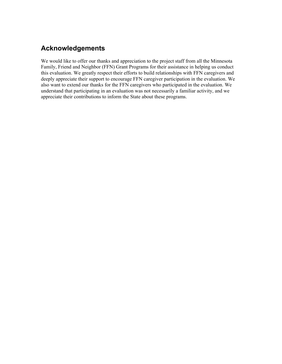# **Acknowledgements**

We would like to offer our thanks and appreciation to the project staff from all the Minnesota Family, Friend and Neighbor (FFN) Grant Programs for their assistance in helping us conduct this evaluation. We greatly respect their efforts to build relationships with FFN caregivers and deeply appreciate their support to encourage FFN caregiver participation in the evaluation. We also want to extend our thanks for the FFN caregivers who participated in the evaluation. We understand that participating in an evaluation was not necessarily a familiar activity, and we appreciate their contributions to inform the State about these programs.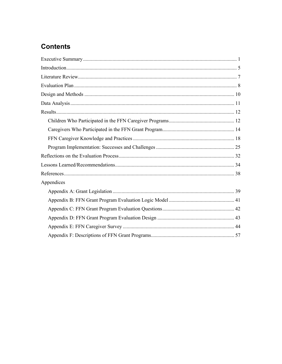# **Contents**

| Appendices |  |
|------------|--|
|            |  |
|            |  |
|            |  |
|            |  |
|            |  |
|            |  |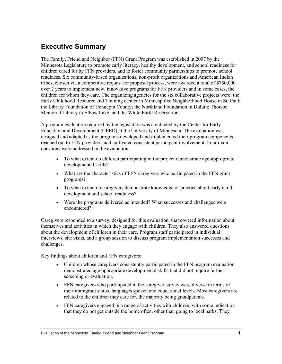# **Executive Summary**

The Family, Friend and Neighbor (FFN) Grant Program was established in 2007 by the Minnesota Legislature to promote early literacy, healthy development, and school readiness for children cared for by FFN providers, and to foster community partnerships to promote school readiness. Six community-based organizations, non-profit organizations and American Indian tribes, chosen via a competitive request for proposal process, were awarded a total of \$750,000 over 2 years to implement new, innovative programs for FFN providers and in some cases, the children for whom they care. The organizing agencies for the six collaborative projects were: the Early Childhood Resource and Training Center in Minneapolis; Neighborhood House in St. Paul; the Library Foundation of Hennepin County; the Northland Foundation in Duluth; Thorson Memorial Library in Elbow Lake, and the White Earth Reservation.

A program evaluation required by the legislation was conducted by the Center for Early Education and Development (CEED) at the University of Minnesota. The evaluation was designed and adapted as the programs developed and implemented their program components, reached out to FFN providers, and cultivated consistent participant involvement. Four main questions were addressed in the evaluation:

- To what extent do children participating in the project demonstrate age-appropriate developmental skills?
- What are the characteristics of FFN caregivers who participated in the FFN grant programs?
- To what extent do caregivers demonstrate knowledge or practice about early child development and school readiness?
- Were the programs delivered as intended? What successes and challenges were encountered?

Caregivers responded to a survey, designed for this evaluation, that covered information about themselves and activities in which they engage with children. They also answered questions about the development of children in their care. Program staff participated in individual interviews, site visits, and a group session to discuss program implementation successes and challenges.

Key findings about children and FFN caregivers:

- Children whose caregivers consistently participated in the FFN program evaluation demonstrated age-appropriate developmental skills that did not require further screening or evaluation.
- FFN caregivers who participated in the caregiver survey were diverse in terms of their immigrant status, languages spoken and educational levels. Most caregivers are related to the children they care for, the majority being grandparents.
- FFN caregivers engaged in a range of activities with children, with some indication that they do not get outside the home often, other than going to local parks. They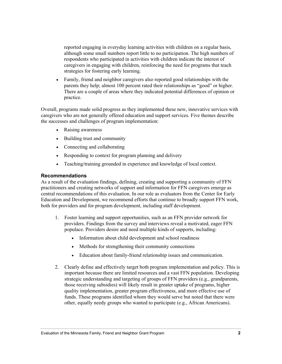reported engaging in everyday learning activities with children on a regular basis, although some small numbers report little to no participation. The high numbers of respondents who participated in activities with children indicate the interest of caregivers in engaging with children, reinforcing the need for programs that teach strategies for fostering early learning.

• Family, friend and neighbor caregivers also reported good relationships with the parents they help; almost 100 percent rated their relationships as "good" or higher. There are a couple of areas where they indicated potential differences of opinion or practice.

Overall, programs made solid progress as they implemented these new, innovative services with caregivers who are not generally offered education and support services. Five themes describe the successes and challenges of program implementation:

- Raising awareness
- Building trust and community
- Connecting and collaborating
- Responding to context for program planning and delivery
- Teaching/training grounded in experience and knowledge of local context.

### **Recommendations**

As a result of the evaluation findings, defining, creating and supporting a community of FFN practitioners and creating networks of support and information for FFN caregivers emerge as central recommendations of this evaluation. In our role as evaluators from the Center for Early Education and Development, we recommend efforts that continue to broadly support FFN work, both for providers and for program development, including staff development.

- 1. Foster learning and support opportunities, such as an FFN provider network for providers. Findings from the survey and interviews reveal a motivated, eager FFN populace. Providers desire and need multiple kinds of supports, including:
	- Information about child development and school readiness
	- Methods for strengthening their community connections
	- Education about family-friend relationship issues and communication.
- 2. Clearly define and effectively target both program implementation and policy. This is important because there are limited resources and a vast FFN population. Developing strategic understanding and targeting of groups of FFN providers (e.g., grandparents, those receiving subsidies) will likely result in greater uptake of programs, higher quality implementation, greater program effectiveness, and more effective use of funds. These programs identified whom they would serve but noted that there were other, equally needy groups who wanted to participate (e.g., African Americans).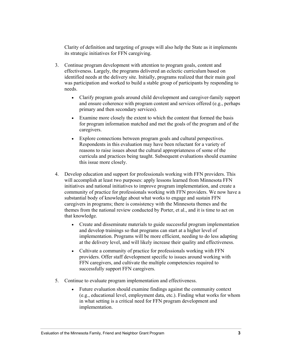Clarity of definition and targeting of groups will also help the State as it implements its strategic initiatives for FFN caregiving.

- 3. Continue program development with attention to program goals, content and effectiveness. Largely, the programs delivered an eclectic curriculum based on identified needs at the delivery site. Initially, programs realized that their main goal was participation and worked to build a stable group of participants by responding to needs.
	- Clarify program goals around child development and caregiver-family support and ensure coherence with program content and services offered (e.g., perhaps primary and then secondary services).
	- Examine more closely the extent to which the content that formed the basis for program information matched and met the goals of the program and of the caregivers.
	- Explore connections between program goals and cultural perspectives. Respondents in this evaluation may have been reluctant for a variety of reasons to raise issues about the cultural appropriateness of some of the curricula and practices being taught. Subsequent evaluations should examine this issue more closely.
- 4. Develop education and support for professionals working with FFN providers. This will accomplish at least two purposes: apply lessons learned from Minnesota FFN initiatives and national initiatives to improve program implementation, and create a community of practice for professionals working with FFN providers. We now have a substantial body of knowledge about what works to engage and sustain FFN caregivers in programs; there is consistency with the Minnesota themes and the themes from the national review conducted by Porter, et al., and it is time to act on that knowledge.
	- Create and disseminate materials to guide successful program implementation and develop trainings so that programs can start at a higher level of implementation. Programs will be more efficient, needing to do less adapting at the delivery level, and will likely increase their quality and effectiveness.
	- Cultivate a community of practice for professionals working with FFN providers. Offer staff development specific to issues around working with FFN caregivers, and cultivate the multiple competencies required to successfully support FFN caregivers.
- 5. Continue to evaluate program implementation and effectiveness.
	- Future evaluation should examine findings against the community context (e.g., educational level, employment data, etc.). Finding what works for whom in what setting is a critical need for FFN program development and implementation.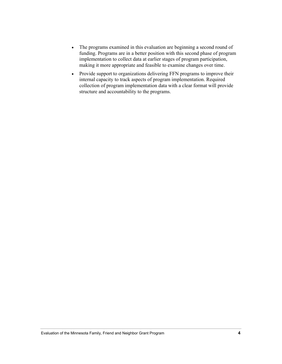- The programs examined in this evaluation are beginning a second round of funding. Programs are in a better position with this second phase of program implementation to collect data at earlier stages of program participation, making it more appropriate and feasible to examine changes over time.
- Provide support to organizations delivering FFN programs to improve their internal capacity to track aspects of program implementation. Required collection of program implementation data with a clear format will provide structure and accountability to the programs.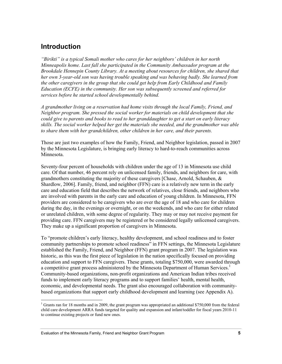# **Introduction**

*"Birikti" is a typical Somali mother who cares for her neighbors' children in her north Minneapolis home. Last fall she participated in the Community Ambassador program at the Brookdale Hennepin County Library. At a meeting about resources for children, she shared that her own 3-year-old son was having trouble speaking and was behaving badly. She learned from the other caregivers in the group that she could get help from Early Childhood and Family Education (ECFE) in the community. Her son was subsequently screened and referred for services before he started school developmentally behind.* 

*A grandmother living on a reservation had home visits through the local Family, Friend, and Neighbor program. She pressed the social worker for materials on child development that she could give to parents and books to read to her granddaughter to get a start on early literacy skills. The social worker helped her get the materials she needed, and the grandmother was able to share them with her grandchildren, other children in her care, and their parents.* 

Those are just two examples of how the Family, Friend, and Neighbor legislation, passed in 2007 by the Minnesota Legislature, is bringing early literacy to hard-to-reach communities across Minnesota.

Seventy-four percent of households with children under the age of 13 in Minnesota use child care. Of that number, 46 percent rely on unlicensed family, friends, and neighbors for care, with grandmothers constituting the majority of these caregivers [Chase, Arnold, Schauben, & Shardlow, 2006]. Family, friend, and neighbor (FFN) care is a relatively new term in the early care and education field that describes the network of relatives, close friends, and neighbors who are involved with parents in the early care and education of young children. In Minnesota, FFN providers are considered to be caregivers who are over the age of 18 and who care for children during the day, in the evenings or overnight, or on the weekends, and who care for either related or unrelated children, with some degree of regularity. They may or may not receive payment for providing care. FFN caregivers may be registered or be considered legally unlicensed caregivers. They make up a significant proportion of caregivers in Minnesota.

To "promote children's early literacy, healthy development, and school readiness and to foster community partnerships to promote school readiness" in FFN settings, the Minnesota Legislature established the Family, Friend, and Neighbor (FFN) grant program in 2007. The legislation was historic, as this was the first piece of legislation in the nation specifically focused on providing education and support to FFN caregivers. These grants, totaling \$750,000, were awarded through a competitive grant process administered by the Minnesota Department of Human Services.<sup>1</sup> Community-based organizations, non-profit organizations and American Indian tribes received funds to implement early literacy programs and to support families' health, mental health, economic, and developmental needs. The grant also encouraged collaboration with communitybased organizations that support early childhood development and learning (see Appendix A).

 $\overline{\phantom{a}}$ 

<sup>&</sup>lt;sup>1</sup> Grants ran for 18 months and in 2009, the grant program was appropriated an additional \$750,000 from the federal child care development ARRA funds targeted for quality and expansion and infant/toddler for fiscal years 2010-11 to continue existing projects or fund new ones.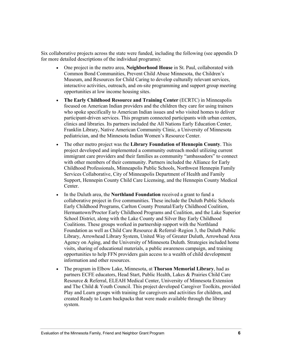Six collaborative projects across the state were funded, including the following (see appendix D for more detailed descriptions of the individual programs):

- One project in the metro area, **Neighborhood House** in St. Paul, collaborated with Common Bond Communities, Prevent Child Abuse Minnesota, the Children's Museum, and Resources for Child Caring to develop culturally relevant services, interactive activities, outreach, and on-site programming and support group meeting opportunities at low income housing sites.
- **The Early Childhood Resource and Training Center** (ECRTC) in Minneapolis focused on American Indian providers and the children they care for using trainers who spoke specifically to American Indian issues and who visited homes to deliver participant-driven services. This program connected participants with urban centers, clinics and libraries. Its partners included the All Nations Early Education Center, Franklin Library, Native American Community Clinic, a University of Minnesota pediatrician, and the Minnesota Indian Women's Resource Center.
- The other metro project was the **Library Foundation of Hennepin County**. This project developed and implemented a community outreach model utilizing current immigrant care providers and their families as community "ambassadors" to connect with other members of their community. Partners included the Alliance for Early Childhood Professionals, Minneapolis Public Schools, Northwest Hennepin Family Services Collaborative, City of Minneapolis Department of Health and Family Support, Hennepin County Child Care Licensing, and the Hennepin County Medical Center.
- In the Duluth area, the **Northland Foundation** received a grant to fund a collaborative project in five communities. These include the Duluth Public Schools Early Childhood Programs, Carlton County Prenatal/Early Childhood Coalition, Hermantown/Proctor Early Childhood Programs and Coalition, and the Lake Superior School District, along with the Lake County and Silver Bay Early Childhood Coalitions. These groups worked in partnership support with the Northland Foundation as well as Child Care Resource & Referral–Region 3, the Duluth Public Library, Arrowhead Library System, United Way of Greater Duluth, Arrowhead Area Agency on Aging, and the University of Minnesota Duluth. Strategies included home visits, sharing of educational materials, a public awareness campaign, and training opportunities to help FFN providers gain access to a wealth of child development information and other resources.
- The program in Elbow Lake, Minnesota, at **Thorson Memorial Library**, had as partners ECFE educators, Head Start, Public Health, Lakes & Prairies Child Care Resource & Referral, ELEAH Medical Center, University of Minnesota Extension and The Child & Youth Council. This project developed Caregiver Toolkits, provided Play and Learn groups with training for caregivers and activities for children, and created Ready to Learn backpacks that were made available through the library system.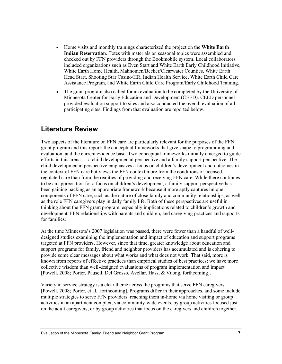- Home visits and monthly trainings characterized the project on the **White Earth Indian Reservation**. Totes with materials on seasonal topics were assembled and checked out by FFN providers through the Bookmobile system. Local collaborators included organizations such as Even Start and White Earth Early Childhood Initiative, White Earth Home Health, Mahnomen/Becker/Clearwater Counties, White Earth Head Start, Shooting Star Casino/HR, Indian Health Service, White Earth Child Care Assistance Program, and White Earth Child Care Program/Early Childhood Training.
- The grant program also called for an evaluation to be completed by the University of Minnesota Center for Early Education and Development (CEED). CEED personnel provided evaluation support to sites and also conducted the overall evaluation of all participating sites. Findings from that evaluation are reported below.

# **Literature Review**

Two aspects of the literature on FFN care are particularly relevant for the purposes of the FFN grant program and this report: the conceptual frameworks that give shape to programming and evaluation, and the current evidence base. Two conceptual frameworks initially emerged to guide efforts in this arena — a child developmental perspective and a family support perspective. The child developmental perspective emphasizes a focus on children's development and outcomes in the context of FFN care but views the FFN context more from the conditions of licensed, regulated care than from the realities of providing and receiving FFN care. While there continues to be an appreciation for a focus on children's development, a family support perspective has been gaining backing as an appropriate framework because it more aptly captures unique components of FFN care, such as the nature of close family and community relationships, as well as the role FFN caregivers play in daily family life. Both of these perspectives are useful in thinking about the FFN grant program, especially implications related to children's growth and development, FFN relationships with parents and children, and caregiving practices and supports for families.

At the time Minnesota's 2007 legislation was passed, there were fewer than a handful of welldesigned studies examining the implementation and impact of education and support programs targeted at FFN providers. However, since that time, greater knowledge about education and support programs for family, friend and neighbor providers has accumulated and is cohering to provide some clear messages about what works and what does not work. That said, more is known from reports of effective practices than empirical studies of best practices; we have more collective wisdom than well-designed evaluations of program implementation and impact [Powell, 2008; Porter, Pausell, Del Grosso, Avellar, Hass, & Vuong, forthcoming].

Variety in service strategy is a clear theme across the programs that serve FFN caregivers [Powell, 2008; Porter, et al*.,* forthcoming]. Programs differ in their approaches, and some include multiple strategies to serve FFN providers: reaching them in-home via home visiting or group activities in an apartment complex, via community-wide events, by group activities focused just on the adult caregivers, or by group activities that focus on the caregivers and children together.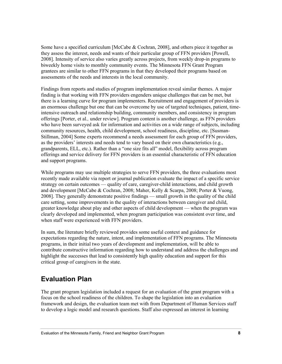Some have a specified curriculum [McCabe & Cochran, 2008], and others piece it together as they assess the interest, needs and wants of their particular group of FFN providers [Powell, 2008]. Intensity of service also varies greatly across projects, from weekly drop-in programs to biweekly home visits to monthly community events. The Minnesota FFN Grant Program grantees are similar to other FFN programs in that they developed their programs based on assessments of the needs and interests in the local community.

Findings from reports and studies of program implementation reveal similar themes. A major finding is that working with FFN providers engenders unique challenges that can be met, but there is a learning curve for program implementers. Recruitment and engagement of providers is an enormous challenge but one that can be overcome by use of targeted techniques, patient, timeintensive outreach and relationship building, community members, and consistency in program offerings [Porter, et al*.,* under review]. Program content is another challenge, as FFN providers who have been surveyed ask for information and activities on a wide range of subjects, including community resources, health, child development, school readiness, discipline, etc. [Susman-Stillman, 2004] Some experts recommend a needs assessment for each group of FFN providers, as the providers' interests and needs tend to vary based on their own characteristics (e.g., grandparents, ELL, etc.). Rather than a "one size fits all" model, flexibility across program offerings and service delivery for FFN providers is an essential characteristic of FFN education and support programs.

While programs may use multiple strategies to serve FFN providers, the three evaluations most recently made available via report or journal publication evaluate the impact of a specific service strategy on certain outcomes — quality of care, caregiver-child interactions, and child growth and development [McCabe & Cochran, 2008; Maher, Kelly & Scarpa, 2008; Porter & Vuong, 2008]. They generally demonstrate positive findings — small growth in the quality of the child care setting, some improvements in the quality of interactions between caregiver and child, greater knowledge about play and other aspects of child development — when the program was clearly developed and implemented, when program participation was consistent over time, and when staff were experienced with FFN providers.

In sum, the literature briefly reviewed provides some useful context and guidance for expectations regarding the nature, intent, and implementation of FFN programs. The Minnesota programs, in their initial two years of development and implementation, will be able to contribute constructive information regarding how to understand and address the challenges and highlight the successes that lead to consistently high quality education and support for this critical group of caregivers in the state.

# **Evaluation Plan**

The grant program legislation included a request for an evaluation of the grant program with a focus on the school readiness of the children. To shape the legislation into an evaluation framework and design, the evaluation team met with from Department of Human Services staff to develop a logic model and research questions. Staff also expressed an interest in learning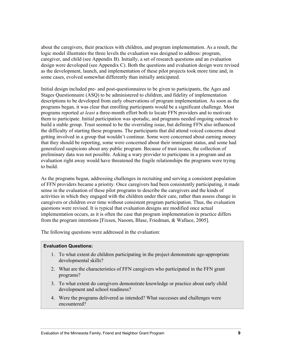about the caregivers, their practices with children, and program implementation. As a result, the logic model illustrates the three levels the evaluation was designed to address: program, caregiver, and child (see Appendix B). Initially, a set of research questions and an evaluation design were developed (see Appendix C). Both the questions and evaluation design were revised as the development, launch, and implementation of these pilot projects took more time and, in some cases, evolved somewhat differently than initially anticipated.

Initial design included pre- and post-questionnaires to be given to participants, the Ages and Stages Questionnaire (ASQ) to be administered to children, and fidelity of implementation descriptions to be developed from early observations of program implementation. As soon as the programs began, it was clear that enrolling participants would be a significant challenge. Most programs reported *at least* a three-month effort both to locate FFN providers and to motivate them to participate. Initial participation was sporadic, and programs needed ongoing outreach to build a stable group. Trust seemed to be the overriding issue, but defining FFN also influenced the difficulty of starting these programs. The participants that did attend voiced concerns about getting involved in a group that wouldn't continue. Some were concerned about earning money that they should be reporting, some were concerned about their immigrant status, and some had generalized suspicions about any public program. Because of trust issues, the collection of preliminary data was not possible. Asking a wary provider to participate in a program and an evaluation right away would have threatened the fragile relationships the programs were trying to build.

As the programs began, addressing challenges in recruiting and serving a consistent population of FFN providers became a priority. Once caregivers had been consistently participating, it made sense in the evaluation of these pilot programs to describe the caregivers and the kinds of activities in which they engaged with the children under their care, rather than assess change in caregivers or children over time without consistent program participation. Thus, the evaluation questions were revised. It is typical that evaluation designs are modified once actual implementation occurs, as it is often the case that program implementation in practice differs from the program intentions [Fixsen, Naoom, Blase, Friedman, & Wallace, 2005].

The following questions were addressed in the evaluation:

### **Evaluation Questions:**

- 1. To what extent do children participating in the project demonstrate age-appropriate developmental skills?
- 2. What are the characteristics of FFN caregivers who participated in the FFN grant programs?
- 3. To what extent do caregivers demonstrate knowledge or practice about early child development and school readiness?
- 4. Were the programs delivered as intended? What successes and challenges were encountered?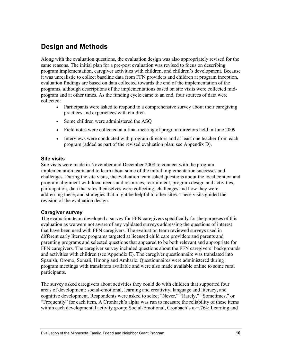# **Design and Methods**

Along with the evaluation questions, the evaluation design was also appropriately revised for the same reasons. The initial plan for a pre-post evaluation was revised to focus on describing program implementation, caregiver activities with children, and children's development. Because it was unrealistic to collect baseline data from FFN providers and children at program inception, evaluation findings are based on data collected towards the end of the implementation of the programs, although descriptions of the implementations based on site visits were collected midprogram and at other times. As the funding cycle came to an end, four sources of data were collected:

- Participants were asked to respond to a comprehensive survey about their caregiving practices and experiences with children
- Some children were administered the ASQ
- Field notes were collected at a final meeting of program directors held in June 2009
- Interviews were conducted with program directors and at least one teacher from each program (added as part of the revised evaluation plan; see Appendix D).

# **Site visits**

Site visits were made in November and December 2008 to connect with the program implementation team, and to learn about some of the initial implementation successes and challenges. During the site visits, the evaluation team asked questions about the local context and program alignment with local needs and resources, recruitment, program design and activities, participation, data that sites themselves were collecting, challenges and how they were addressing these, and strategies that might be helpful to other sites. These visits guided the revision of the evaluation design.

# **Caregiver survey**

The evaluation team developed a survey for FFN caregivers specifically for the purposes of this evaluation as we were not aware of any validated surveys addressing the questions of interest that have been used with FFN caregivers. The evaluation team reviewed surveys used in different early literacy programs targeted at licensed child care providers and parents and parenting programs and selected questions that appeared to be both relevant and appropriate for FFN caregivers. The caregiver survey included questions about the FFN caregivers' backgrounds and activities with children (see Appendix E). The caregiver questionnaire was translated into Spanish, Oromo, Somali, Hmong and Amharic. Questionnaires were administered during program meetings with translators available and were also made available online to some rural participants.

The survey asked caregivers about activities they could do with children that supported four areas of development: social-emotional, learning and creativity, language and literacy, and cognitive development. Respondents were asked to select "Never," "Rarely," "Sometimes," or "Frequently" for each item. A Cronbach's alpha was run to measure the reliability of these items within each developmental activity group: Social-Emotional, Cronbach's  $\alpha_c$ =.764; Learning and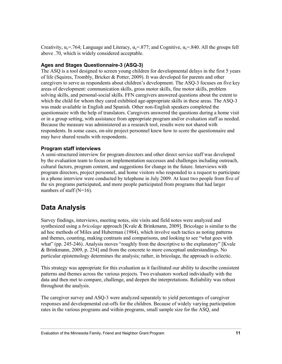Creativity,  $\alpha_c$ =.764; Language and Literacy,  $\alpha_c$ =.877; and Cognitive,  $\alpha_c$ =.840. All the groups fell above .70, which is widely considered acceptable.

# **Ages and Stages Questionnaire-3 (ASQ-3)**

The ASQ is a tool designed to screen young children for developmental delays in the first 5 years of life (Squires, Trombly, Bricker & Potter, 2009). It was developed for parents and other caregivers to serve as respondents about children's development. The ASQ-3 focuses on five key areas of development: communication skills, gross motor skills, fine motor skills, problem solving skills, and personal-social skills. FFN caregivers answered questions about the extent to which the child for whom they cared exhibited age-appropriate skills in these areas. The ASQ-3 was made available in English and Spanish. Other non-English speakers completed the questionnaire with the help of translators. Caregivers answered the questions during a home visit or in a group setting, with assistance from appropriate program and/or evaluation staff as needed. Because the measure was administered as a research tool, results were not shared with respondents. In some cases, on-site project personnel knew how to score the questionnaire and may have shared results with respondents.

# **Program staff interviews**

A semi-structured interview for program directors and other direct service staff was developed by the evaluation team to focus on implementation successes and challenges including outreach, cultural factors, program content, and suggestions for change in the future. Interviews with program directors, project personnel, and home visitors who responded to a request to participate in a phone interview were conducted by telephone in July 2009. At least two people from five of the six programs participated, and more people participated from programs that had larger numbers of staff (N=16).

# **Data Analysis**

Survey findings, interviews, meeting notes, site visits and field notes were analyzed and synthesized using a *bricolage* approach [Kvale & Brinkmann, 2009]. Bricolage is similar to the ad hoc methods of Miles and Huberman (1984), which involve such tactics as noting patterns and themes, counting, making contrasts and comparisons, and looking to see "what goes with what" (pp. 245-246). Analysis moves "roughly from the descriptive to the explanatory" [Kvale & Brinkmann, 2009, p. 234] and from the concrete to more conceptual understandings. No particular epistemology determines the analysis; rather, in bricolage, the approach is eclectic.

This strategy was appropriate for this evaluation as it facilitated our ability to describe consistent patterns and themes across the various projects. Two evaluators worked individually with the data and then met to compare, challenge, and deepen the interpretations. Reliability was robust throughout the analysis.

The caregiver survey and ASQ-3 were analyzed separately to yield percentages of caregiver responses and developmental cut-offs for the children. Because of widely varying participation rates in the various programs and within programs, small sample size for the ASQ, and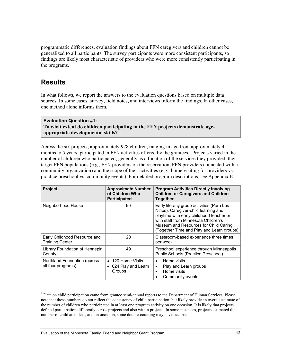programmatic differences, evaluation findings about FFN caregivers and children cannot be generalized to all participants. The survey participants were more consistent participants, so findings are likely most characteristic of providers who were more consistently participating in the programs.

# **Results**

In what follows, we report the answers to the evaluation questions based on multiple data sources. In some cases, survey, field notes, and interviews inform the findings. In other cases, one method alone informs them.

# **Evaluation Question #1: To what extent do children participating in the FFN projects demonstrate ageappropriate developmental skills?**

Across the six projects, approximately 978 children, ranging in age from approximately 4 months to 5 years, participated in FFN activities offered by the grantees.<sup>1</sup> Projects varied in the number of children who participated, generally as a function of the services they provided, their target FFN populations (e.g., FFN providers on the reservation, FFN providers connected with a community organization) and the scope of their activities (e.g., home visiting for providers vs. practice preschool vs. community events). For detailed program descriptions, see Appendix E.

| <b>Project</b>                                         | <b>Approximate Number</b><br>of Children Who<br><b>Participated</b> | <b>Program Activities Directly Involving</b><br><b>Children or Caregivers and Children</b><br><b>Together</b>                                                                                                                                               |
|--------------------------------------------------------|---------------------------------------------------------------------|-------------------------------------------------------------------------------------------------------------------------------------------------------------------------------------------------------------------------------------------------------------|
| Neighborhood House                                     | 90                                                                  | Early literacy group activities (Para Los<br>Ninos). Caregiver-child learning and<br>playtime with early childhood teacher or<br>with staff from Minnesota Children's<br>Museum and Resources for Child Caring<br>(Together Time and Play and Learn groups) |
| Early Childhood Resource and<br><b>Training Center</b> | 20                                                                  | Classroom-based experience three times<br>per week                                                                                                                                                                                                          |
| Library Foundation of Hennepin<br>County               | 49                                                                  | Preschool experience through Minneapolis<br>Public Schools (Practice Preschool)                                                                                                                                                                             |
| Northland Foundation (across)<br>all four programs)    | 120 Home Visits<br>$\bullet$<br>624 Play and Learn<br>٠<br>Groups   | Home visits<br>$\bullet$<br>Play and Learn groups<br>$\bullet$<br>Home visits<br>$\bullet$<br>Community events                                                                                                                                              |

 $\overline{\phantom{a}}$ <sup>1</sup> Data on child participation came from grantee semi-annual reports to the Department of Human Services. Please note that these numbers do not reflect the consistency of child participation, but likely provide an overall estimate of the number of children who participated in at least one program activity on one occasion. It is likely that projects defined participation differently across projects and also within projects. In some instances, projects estimated the number of child attendees, and on occasion, some double-counting may have occurred.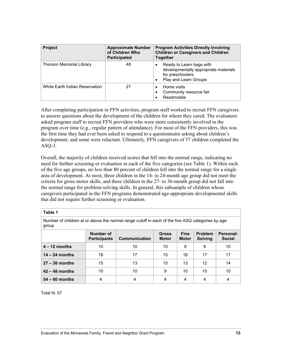| <b>Project</b>                 | <b>Approximate Number</b><br>of Children Who<br><b>Participated</b> | <b>Program Activities Directly Involving</b><br><b>Children or Caregivers and Children</b><br><b>Together</b>                            |
|--------------------------------|---------------------------------------------------------------------|------------------------------------------------------------------------------------------------------------------------------------------|
| Thorson Memorial Library       | 48                                                                  | Ready to Learn bags with<br>$\bullet$<br>developmentally appropriate materials<br>for preschoolers<br>Play and Learn Groups<br>$\bullet$ |
| White Earth Indian Reservation | 27                                                                  | Home visits<br>$\bullet$<br>Community resource fair<br>٠<br>Readmobile                                                                   |

After completing participation in FFN activities, program staff worked to recruit FFN caregivers to answer questions about the development of the children for whom they cared. The evaluators asked program staff to recruit FFN providers who were more consistently involved in the program over time (e.g., regular pattern of attendance). For most of the FFN providers, this was the first time they had ever been asked to respond to a questionnaire asking about children's development, and some were reluctant. Ultimately, FFN caregivers of 57 children completed the  $ASQ-3$ .

Overall, the majority of children received scores that fell into the normal range, indicating no need for further screening or evaluation in each of the five categories (see Table 1). Within each of the five age groups, no less than 80 percent of children fell into the normal range for a single area of development. At most, three children in the 14- to 24-month age group did not meet the criteria for gross motor skills, and three children in the 27- to 36-month group did not fall into the normal range for problem-solving skills. In general, this subsample of children whose caregivers participated in the FFN programs demonstrated age-appropriate developmental skills that did not require further screening or evaluation.

| н<br>. .<br>۰,<br>٠<br>× |
|--------------------------|
|--------------------------|

Number of children at or above the normal range cutoff in each of the five ASQ categories by age group

|                  | Number of<br><b>Participants</b> | Communication | <b>Gross</b><br><b>Motor</b> | <b>Fine</b><br><b>Motor</b> | <b>Problem</b><br><b>Solving</b> | <b>Personal-</b><br><b>Social</b> |
|------------------|----------------------------------|---------------|------------------------------|-----------------------------|----------------------------------|-----------------------------------|
| $4 - 12$ months  | 10                               | 10            | 10                           | 9                           | 9                                | 10                                |
| $14 - 24$ months | 18                               | 17            | 15                           | 18                          | 17                               | 17                                |
| $27 - 36$ months | 15                               | 13            | 15                           | 13                          | 12                               | 14                                |
| $42 - 48$ months | 10                               | 10            | 9                            | 10                          | 10                               | 10                                |
| $54 - 60$ months | 4                                | 4             | 4                            | 4                           | 4                                |                                   |

Total N: 57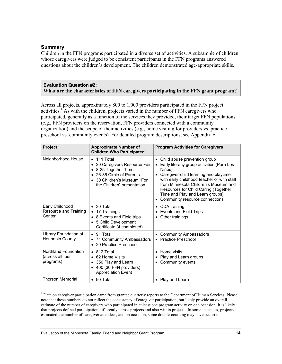# **Summary**

 $\overline{\phantom{a}}$ 

Children in the FFN programs participated in a diverse set of activities. A subsample of children whose caregivers were judged to be consistent participants in the FFN programs answered questions about the children's development. The children demonstrated age-appropriate skills.

### **Evaluation Question #2: What are the characteristics of FFN caregivers participating in the FFN grant program?**

Across all projects, approximately 800 to 1,000 providers participated in the FFN project activities.<sup>1</sup> As with the children, projects varied in the number of FFN caregivers who participated, generally as a function of the services they provided, their target FFN populations (e.g., FFN providers on the reservation, FFN providers connected with a community organization) and the scope of their activities (e.g., home visiting for providers vs. practice preschool vs. community events). For detailed program descriptions, see Appendix E.

| Project                                               | <b>Approximate Number of</b><br><b>Children Who Participated</b>                                                                                                                              | <b>Program Activities for Caregivers</b>                                                                                                                                                                                                                                                                                                     |
|-------------------------------------------------------|-----------------------------------------------------------------------------------------------------------------------------------------------------------------------------------------------|----------------------------------------------------------------------------------------------------------------------------------------------------------------------------------------------------------------------------------------------------------------------------------------------------------------------------------------------|
| Neighborhood House                                    | $\bullet$ 111 Total<br>20 Caregivers Resource Fair<br>٠<br>8-25 Together Time<br>$\bullet$<br>26-36 Circle of Parents<br>$\bullet$<br>30 Children's Museum "For<br>the Children" presentation | Child abuse prevention group<br>$\bullet$<br>Early literacy group activities (Para Los<br>Ninos)<br>Caregiver-child learning and playtime<br>with early childhood teacher or with staff<br>from Minnesota Children's Museum and<br>Resources for Child Caring (Together<br>Time and Play and Learn groups)<br>Community resource connections |
| Early Childhood<br>Resource and Training<br>Center    | • 30 Total<br>17 Trainings<br>$\bullet$<br>8 Events and Field trips<br>$\bullet$<br>5 Child Development<br>$\bullet$<br>Certificate (4 completed)                                             | CDA training<br>$\bullet$<br>Events and Field Trips<br>$\bullet$<br>Other trainings                                                                                                                                                                                                                                                          |
| Library Foundation of<br><b>Hennepin County</b>       | $\bullet$ 91 Total<br>71 Community Ambassadors<br>$\bullet$<br>20 Practice Preschool<br>$\bullet$                                                                                             | <b>Community Ambassadors</b><br>$\bullet$<br><b>Practice Preschool</b>                                                                                                                                                                                                                                                                       |
| Northland Foundation<br>(across all four<br>programs) | 812 Total<br>$\bullet$<br>62 Home Visits<br>$\bullet$<br>350 Play and Learn<br>٠<br>400 (30 FFN providers)<br>$\bullet$<br><b>Appreciation Event</b>                                          | Home visits<br>$\bullet$<br>Play and Learn groups<br>٠<br>Community events<br>٠                                                                                                                                                                                                                                                              |
| <b>Thorson Memorial</b>                               | 90 Total<br>$\bullet$                                                                                                                                                                         | Play and Learn<br>$\bullet$                                                                                                                                                                                                                                                                                                                  |

<sup>&</sup>lt;sup>1</sup> Data on caregiver participation came from grantee quarterly reports to the Department of Human Services. Please note that these numbers do not reflect the consistency of caregiver participation, but likely provide an overall estimate of the number of caregivers who participated in at least one program activity on one occasion. It is likely that projects defined participation differently across projects and also within projects. In some instances, projects estimated the number of caregiver attendees, and on occasion, some double-counting may have occurred.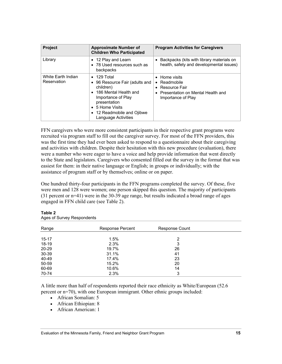| <b>Project</b>                    | <b>Approximate Number of</b><br><b>Children Who Participated</b>                                                                                                                                                                                   | <b>Program Activities for Caregivers</b>                                                                                            |
|-----------------------------------|----------------------------------------------------------------------------------------------------------------------------------------------------------------------------------------------------------------------------------------------------|-------------------------------------------------------------------------------------------------------------------------------------|
| Library                           | 12 Play and Learn<br>$\bullet$<br>78 Used resources such as<br>$\bullet$<br>backpacks                                                                                                                                                              | Backpacks (kits with library materials on<br>health, safety and developmental issues)                                               |
| White Earth Indian<br>Reservation | 129 Total<br>$\bullet$<br>96 Resource Fair (adults and<br>٠<br>children)<br>186 Mental Health and<br>$\bullet$<br>Importance of Play<br>presentation<br>5 Home Visits<br>$\bullet$<br>12 Readmobile and Ojibwe<br>$\bullet$<br>Language Activities | • Home visits<br>Readmobile<br>$\bullet$<br>• Resource Fair<br>Presentation on Mental Health and<br>$\bullet$<br>Importance of Play |

FFN caregivers who were more consistent participants in their respective grant programs were recruited via program staff to fill out the caregiver survey. For most of the FFN providers, this was the first time they had ever been asked to respond to a questionnaire about their caregiving and activities with children. Despite their hesitation with this new procedure (evaluation), there were a number who were eager to have a voice and help provide information that went directly to the State and legislators. Caregivers who consented filled out the survey in the format that was easiest for them: in their native language or English; in groups or individually; with the assistance of program staff or by themselves; online or on paper.

One hundred thirty-four participants in the FFN programs completed the survey. Of these, five were men and 128 were women; one person skipped this question. The majority of participants (31 percent or n=41) were in the 30-39 age range, but results indicated a broad range of ages engaged in FFN child care (see Table 2).

| Range     | <b>Response Percent</b> | <b>Response Count</b> |  |
|-----------|-------------------------|-----------------------|--|
|           |                         |                       |  |
| $15 - 17$ | 1.5%                    | 2                     |  |
| 18-19     | 2.3%                    | 3                     |  |
| 20-29     | 19.7%                   | 26                    |  |
| 30-39     | 31.1%                   | 41                    |  |
| 40-49     | 17.4%                   | 23                    |  |
| 50-59     | 15.2%                   | 20                    |  |
| 60-69     | 10.6%                   | 14                    |  |
| 70-74     | 2.3%                    | 3                     |  |

**Table 2** Ages of Survey Respondents

A little more than half of respondents reported their race ethnicity as White/European (52.6 percent or n=70), with one European immigrant. Other ethnic groups included:

- African Somalian: 5
- African Ethiopian: 8
- African American: 1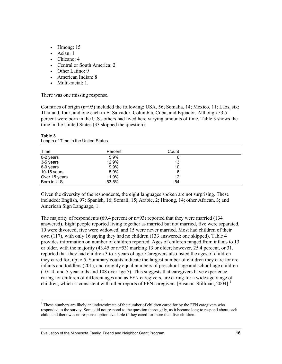- Hmong:  $15$
- Asian: 1
- Chicano: 4
- Central or South America: 2
- Other Latino: 9
- American Indian: 8
- Multi-racial: 1.

There was one missing response.

Countries of origin (n=95) included the following: USA, 56; Somalia, 14; Mexico, 11; Laos, six; Thailand, four; and one each in El Salvador, Columbia, Cuba, and Equador. Although 53.5 percent were born in the U.S., others had lived here varying amounts of time. Table 3 shows the time in the United States (33 skipped the question).

| Time          | Percent | Count |  |
|---------------|---------|-------|--|
| 0-2 years     | $5.9\%$ | 6     |  |
| 3-5 years     | 12.9%   | 13    |  |
| 6-9 years     | 9.9%    | 10    |  |
| 10-15 years   | 5.9%    | 6     |  |
| Over 15 years | 11.9%   | 12    |  |
| Born in U.S.  | 53.5%   | 54    |  |

#### **Table 3**  Length of Time in the United States

 $\overline{\phantom{a}}$ 

Given the diversity of the respondents, the eight languages spoken are not surprising. These included: English, 97; Spanish, 16; Somali, 15; Arabic, 2; Hmong, 14; other African, 3; and American Sign Language, 1.

The majority of respondents  $(69.4 \text{ percent or n=93})$  reported that they were married  $(134 \text{ m})$ answered). Eight people reported living together as married but not married, five were separated, 10 were divorced, five were widowed, and 15 were never married. Most had children of their own (117), with only 16 saying they had no children (133 answered; one skipped). Table 4 provides information on number of children reported. Ages of children ranged from infants to 13 or older, with the majority (43.45 or n=53) marking 13 or older; however, 25.4 percent, or 31, reported that they had children 3 to 5 years of age. Caregivers also listed the ages of children they cared for, up to 5. Summary counts indicate the largest number of children they care for are infants and toddlers (201), and roughly equal numbers of preschool-age and school-age children (101 4- and 5-year-olds and 108 over age 5). This suggests that caregivers have experience caring for children of different ages and as FFN caregivers, are caring for a wide age range of children, which is consistent with other reports of FFN caregivers [Susman-Stillman, 2004].<sup>1</sup>

<sup>&</sup>lt;sup>1</sup> These numbers are likely an underestimate of the number of children cared for by the FFN caregivers who responded to the survey. Some did not respond to the question thoroughly, as it became long to respond about each child, and there was no response option available if they cared for more than five children.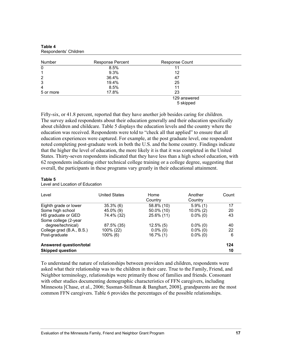| Number         | <b>Response Percent</b> | <b>Response Count</b> |  |
|----------------|-------------------------|-----------------------|--|
| 0              | 8.5%                    |                       |  |
| 1              | 9.3%                    | 12                    |  |
| $\overline{2}$ | 36.4%                   | 47                    |  |
| 3              | 19.4%                   | 25                    |  |
| 4              | 8.5%                    | 11                    |  |
| 5 or more      | 17.8%                   | 23                    |  |
|                |                         | 129 answered          |  |
|                |                         | 5 skipped             |  |

| Table 4               |  |
|-----------------------|--|
| Respondents' Children |  |

Fifty-six, or 41.8 percent, reported that they have another job besides caring for children. The survey asked respondents about their education generally and their education specifically about children and childcare. Table 5 displays the education levels and the country where the education was received. Respondents were told to "check all that applied" to ensure that all education experiences were captured. For example, at the post graduate level, one respondent noted completing post-graduate work in both the U.S. and the home country. Findings indicate that the higher the level of education, the more likely it is that it was completed in the United States. Thirty-seven respondents indicated that they have less than a high school education, with 62 respondents indicating either technical college training or a college degree, suggesting that overall, the participants in these programs vary greatly in their educational attainment.

| Level                     | <b>United States</b> | Home         | Another      | Count |
|---------------------------|----------------------|--------------|--------------|-------|
|                           |                      | Country      | Country      |       |
| Eighth grade or lower     | $35.3\%$ (6)         | 58.8% (10)   | $5.9\%$ (1)  | 17    |
| Some high school          | 45.0% (9)            | 50.0% (10)   | $10.0\%$ (2) | 20    |
| HS graduate or GED        | 74.4% (32)           | 25.6% (11)   | $0.0\%$ (0)  | 43    |
| Some college (2-year      |                      |              |              |       |
| degree/technical)         | 87.5% (35)           | $12.5\%$ (5) | $0.0\%$ (0)  | 40    |
| College grad (B.A., B.S.) | 100% (22)            | $0.0\%$ (0)  | $0.0\%$ (0)  | 22    |
| Post-graduate             | $100\%$ (6)          | 16.7% (1)    | $0.0\%$ (0)  | 6     |
| Answered question/total   |                      |              |              | 124   |
| <b>Skipped question</b>   |                      |              |              | 10    |

| Table 5                         |  |
|---------------------------------|--|
| Level and Location of Education |  |

To understand the nature of relationships between providers and children, respondents were asked what their relationship was to the children in their care. True to the Family, Friend, and Neighbor terminology, relationships were primarily those of families and friends. Consonant with other studies documenting demographic characteristics of FFN caregivers, including Minnesota [Chase, et al., 2006; Susman-Stillman & Banghart, 2008], grandparents are the most common FFN caregivers. Table 6 provides the percentages of the possible relationships.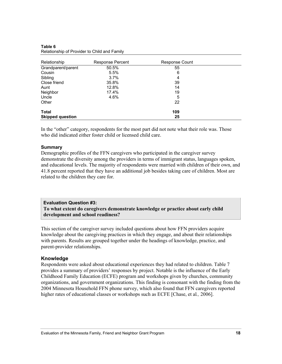| Relationship            | Response Percent | Response Count |  |
|-------------------------|------------------|----------------|--|
| Grandparent/parent      | 50.5%            | 55             |  |
| Cousin                  | 5.5%             | 6              |  |
| Sibling                 | 3.7%             | 4              |  |
| Close friend            | 35.8%            | 39             |  |
| Aunt                    | 12.8%            | 14             |  |
| Neighbor                | 17.4%            | 19             |  |
| Uncle                   | 4.6%             | 5              |  |
| Other                   |                  | 22             |  |
| Total                   |                  | 109            |  |
| <b>Skipped question</b> |                  | 25             |  |

#### **Table 6**  Relationship of Provider to Child and Family

In the "other" category, respondents for the most part did not note what their role was. Those who did indicated either foster child or licensed child care.

### **Summary**

Demographic profiles of the FFN caregivers who participated in the caregiver survey demonstrate the diversity among the providers in terms of immigrant status, languages spoken, and educational levels. The majority of respondents were married with children of their own, and 41.8 percent reported that they have an additional job besides taking care of children. Most are related to the children they care for.

# **Evaluation Question #3:**

**To what extent do caregivers demonstrate knowledge or practice about early child development and school readiness?** 

This section of the caregiver survey included questions about how FFN providers acquire knowledge about the caregiving practices in which they engage, and about their relationships with parents. Results are grouped together under the headings of knowledge, practice, and parent-provider relationships.

# **Knowledge**

Respondents were asked about educational experiences they had related to children. Table 7 provides a summary of providers' responses by project. Notable is the influence of the Early Childhood Family Education (ECFE) program and workshops given by churches, community organizations, and government organizations. This finding is consonant with the finding from the 2004 Minnesota Household FFN phone survey, which also found that FFN caregivers reported higher rates of educational classes or workshops such as ECFE [Chase, et al*.,* 2006].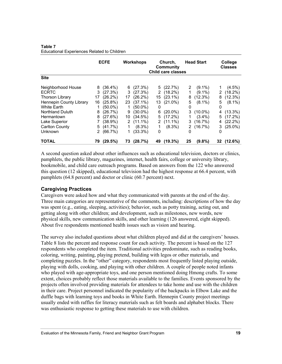|                         |    | <b>ECFE</b> |    | <b>Workshops</b> |    | Church,<br>Community<br>Child care classes |    | <b>Head Start</b> |   | College<br><b>Classes</b> |
|-------------------------|----|-------------|----|------------------|----|--------------------------------------------|----|-------------------|---|---------------------------|
| <b>Site</b>             |    |             |    |                  |    |                                            |    |                   |   |                           |
| Neighborhood House      | 8  | $(36.4\%)$  | 6. | (27.3%)          |    | 5(22.7%)                                   | 2  | $(9.1\%)$         |   | $(4.5\%)$                 |
| <b>ECRTC</b>            | 3  | (27.3%)     | 3. | (27.3%)          | 2  | $(18.2\%)$                                 |    | $(9.1\%)$         | 2 | $(18.2\%)$                |
| <b>Thorson Library</b>  | 17 | $(26.2\%)$  | 17 | $(26.2\%)$       | 15 | $(23.1\%)$                                 | 8  | $(12.3\%)$        | 8 | (12.3%)                   |
| Hennepin County Library | 16 | $(25.8\%)$  | 23 | $(37.1\%)$       | 13 | $(21.0\%)$                                 | 5  | $(8.1\%)$         | 5 | $(8.1\%)$                 |
| White Earth             |    | $(50.0\%)$  |    | $(50.0\%)$       | 0  |                                            | 0  |                   | 0 |                           |
| <b>Northland Duluth</b> | 8  | (26.7%)     | 9  | $(30.0\%)$       | 6  | $(20.0\%)$                                 | 3  | $(10.0\%)$        | 4 | $(13.3\%)$                |
| Hermantown              | 8  | (27.6%)     | 10 | (34.5%)          | 5  | $(17.2\%)$                                 |    | $(3.4\%)$         | 5 | $(17.2\%)$                |
| Lake Superior           |    | $(38.9\%)$  |    | $2(11.1\%)$      |    | $2(11.1\%)$                                | 3  | (16.7%)           | 4 | $(22.2\%)$                |
| Carlton County          | 5  | (41.7%)     | 1  | $(8.3\%)$        | 1  | $(8.3\%)$                                  |    | 2(16.7%)          | 3 | $(25.0\%)$                |
| Unknown                 | 2  | (66.7%)     |    | (33.3%)          | 0  |                                            | 0  |                   | 0 |                           |
| <b>TOTAL</b>            | 79 | (29.5%)     | 73 | (28.7%)          | 49 | (19.3%)                                    | 25 | $(9.8\%)$         |   | 32 (12.6%)                |

**Table 7**  Educational Experiences Related to Children

A second question asked about other influences such as educational television, doctors or clinics, pamphlets, the public library, magazines, internet, health fairs, college or university library, bookmobile, and child care outreach programs. Based on answers from the 122 who answered this question (12 skipped), educational television had the highest response at 66.4 percent, with pamphlets (64.8 percent) and doctor or clinic (60.7 percent) next.

# **Caregiving Practices**

Caregivers were asked how and what they communicated with parents at the end of the day. Three main categories are representative of the comments, including: descriptions of how the day was spent (e.g., eating, sleeping, activities); behavior, such as potty training, acting out, and getting along with other children; and development, such as milestones, new words, new physical skills, new communication skills, and other learning (126 answered, eight skipped). About five respondents mentioned health issues such as vision and hearing.

The survey also included questions about what children played and did at the caregivers' houses. Table 8 lists the percent and response count for each activity. The percent is based on the 127 respondents who completed the item. Traditional activities predominate, such as reading books, coloring, writing, painting, playing pretend, building with legos or other materials, and completing puzzles. In the "other" category, respondents most frequently listed playing outside, playing with dolls, cooking, and playing with other children. A couple of people noted infants who played with age-appropriate toys, and one person mentioned doing Hmong crafts. To some extent, choices probably reflect those materials available to the families. Events sponsored by the projects often involved providing materials for attendees to take home and use with the children in their care. Project personnel indicated the popularity of the backpacks in Elbow Lake and the duffle bags with learning toys and books in White Earth. Hennepin County project meetings usually ended with raffles for literacy materials such as felt boards and alphabet blocks. There was enthusiastic response to getting these materials to use with children.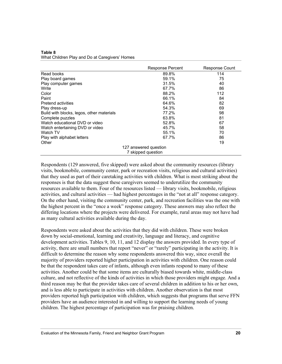| Table 8                                        |  |
|------------------------------------------------|--|
| What Children Play and Do at Caregivers' Homes |  |

|                                           | <b>Response Percent</b> | Response Count |  |  |  |
|-------------------------------------------|-------------------------|----------------|--|--|--|
| Read books                                | 89.8%                   | 114            |  |  |  |
| Play board games                          | 59.1%                   | 75             |  |  |  |
| Play computer games                       | 31.5%                   | 40             |  |  |  |
| Write                                     | 67.7%                   | 86             |  |  |  |
| Color                                     | 88.2%                   | 112            |  |  |  |
| Paint                                     | 66.1%                   | 84             |  |  |  |
| Pretend activities                        | 64.6%                   | 82             |  |  |  |
| Play dress-up                             | 54.3%                   | 69             |  |  |  |
| Build with blocks, legos, other materials | 77.2%                   | 98             |  |  |  |
| Complete puzzles                          | 63.8%                   | 81             |  |  |  |
| Watch educational DVD or video            | 52.8%                   | 67             |  |  |  |
| Watch entertaining DVD or video           | 45.7%                   | 58             |  |  |  |
| Watch TV                                  | 55.1%                   | 70             |  |  |  |
| Play with alphabet letters                | 67.7%                   | 86             |  |  |  |
| Other                                     |                         | 19             |  |  |  |
|                                           | 127 answered question   |                |  |  |  |
| 7 skipped question                        |                         |                |  |  |  |

Respondents (129 answered, five skipped) were asked about the community resources (library visits, bookmobile, community center, park or recreation visits, religious and cultural activities) that they used as part of their caretaking activities with children. What is most striking about the responses is that the data suggest these caregivers seemed to underutilize the community resources available to them. Four of the resources listed — library visits, bookmobile, religious activities, and cultural activities — had highest percentages in the "not at all" response category. On the other hand, visiting the community center, park, and recreation facilities was the one with the highest percent in the "once a week" response category. These answers may also reflect the differing locations where the projects were delivered. For example, rural areas may not have had as many cultural activities available during the day.

Respondents were asked about the activities that they did with children. These were broken down by social-emotional, learning and creativity, language and literacy, and cognitive development activities. Tables 9, 10, 11, and 12 display the answers provided. In every type of activity, there are small numbers that report "never" or "rarely" participating in the activity. It is difficult to determine the reason why some respondents answered this way, since overall the majority of providers reported higher participation in activities with children. One reason could be that the respondent takes care of infants, although even infants respond to many of these activities. Another could be that some items are culturally biased towards white, middle-class culture, and not reflective of the kinds of activities in which those providers might engage. And a third reason may be that the provider takes care of several children in addition to his or her own, and is less able to participate in activities with children. Another observation is that most providers reported high participation with children, which suggests that programs that serve FFN providers have an audience interested in and willing to support the learning needs of young children. The highest percentage of participation was for praising children.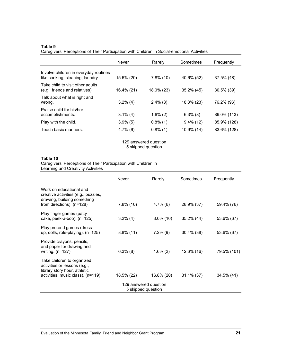#### **Table 9**

Caregivers' Perceptions of Their Participation with Children in Social-emotional Activities

|                                                                           | <b>Never</b> | Rarely       | Sometimes     | Frequently    |  |  |
|---------------------------------------------------------------------------|--------------|--------------|---------------|---------------|--|--|
| Involve children in everyday routines<br>like cooking, cleaning, laundry. | 15.6% (20)   | $7.8\%$ (10) | 40.6% (52)    | 37.5% (48)    |  |  |
| Take child to visit other adults<br>(e.g., friends and relatives).        | 16.4% (21)   | 18.0% (23)   | $35.2\%$ (45) | $30.5\%$ (39) |  |  |
| Talk about what is right and<br>wrong.                                    | $3.2\%$ (4)  | $2.4\%$ (3)  | 18.3% (23)    | 76.2% (96)    |  |  |
| Praise child for his/her<br>accomplishments.                              | $3.1\%$ (4)  | $1.6\%$ (2)  | $6.3\%$ (8)   | 89.0% (113)   |  |  |
| Play with the child.                                                      | $3.9\%$ (5)  | $0.8\%$ (1)  | $9.4\%$ (12)  | 85.9% (128)   |  |  |
| Teach basic manners.                                                      | $4.7\%$ (6)  | $0.8\%$ (1)  | 10.9% (14)    | 83.6% (128)   |  |  |
| 129 answered question<br>5 skipped question                               |              |              |               |               |  |  |

#### **Table 10**

Caregivers' Perceptions of Their Participation with Children in

Learning and Creativity Activities

|                                                                                                                                 | <b>Never</b> | Rarely       | Sometimes     | Frequently  |  |  |
|---------------------------------------------------------------------------------------------------------------------------------|--------------|--------------|---------------|-------------|--|--|
| Work on educational and<br>creative activities (e.g., puzzles,<br>drawing, building something<br>from directions). $(n=128)$    | $7.8\%$ (10) | $4.7\%$ (6)  | 28.9% (37)    | 59.4% (76)  |  |  |
| Play finger games (patty<br>cake, peek-a-boo). (n=125)                                                                          | $3.2\%$ (4)  | $8.0\%$ (10) | 35.2% (44)    | 53.6% (67)  |  |  |
| Play pretend games (dress-<br>up, dolls, role-playing). (n=125)                                                                 | $8.8\%$ (11) | $7.2\%$ (9)  | $30.4\%$ (38) | 53.6% (67)  |  |  |
| Provide crayons, pencils,<br>and paper for drawing and<br>writing. $(n=127)$                                                    | $6.3\%$ (8)  | $1.6\%$ (2)  | 12.6% (16)    | 79.5% (101) |  |  |
| Take children to organized<br>activities or lessons (e.g.,<br>library story hour, athletic<br>activities, music class). (n=119) | 18.5% (22)   | 16.8% (20)   | $31.1\%$ (37) | 34.5% (41)  |  |  |
| 129 answered question<br>5 skipped question                                                                                     |              |              |               |             |  |  |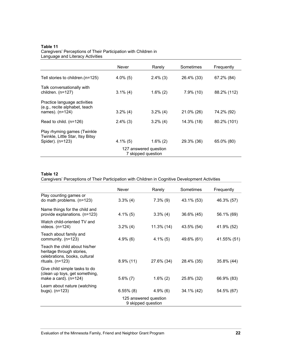#### **Table 11**

Caregivers' Perceptions of Their Participation with Children in Language and Literacy Activities

|                                                                                     | Never       | Rarely      | Sometimes    | Frequently  |  |  |
|-------------------------------------------------------------------------------------|-------------|-------------|--------------|-------------|--|--|
| Tell stories to children. (n=125)                                                   | $4.0\%$ (5) | $2.4\%$ (3) | 26.4% (33)   | 67.2% (84)  |  |  |
| Talk conversationally with<br>children. $(n=127)$                                   | $3.1\%$ (4) | $1.6\%$ (2) | $7.9\%$ (10) | 88.2% (112) |  |  |
| Practice language activities<br>(e.g., recite alphabet, teach<br>names). $(n=124)$  | $3.2\%$ (4) | $3.2\%$ (4) | 21.0% (26)   | 74.2% (92)  |  |  |
| Read to child. $(n=126)$                                                            | $2.4\%$ (3) | $3.2\%$ (4) | 14.3% (18)   | 80.2% (101) |  |  |
| Play rhyming games (Twinkle<br>Twinkle, Little Star, Itsy Bitsy<br>Spider). (n=123) | 4.1% (5)    | $1.6\%$ (2) | 29.3% (36)   | 65.0% (80)  |  |  |
| 127 answered question<br>7 skipped question                                         |             |             |              |             |  |  |

#### **Table 12**

Caregivers' Perceptions of Their Participation with Children in Cognitive Development Activities

|                                                                                                                   | Never        | Rarely      | Sometimes  | Frequently  |  |  |
|-------------------------------------------------------------------------------------------------------------------|--------------|-------------|------------|-------------|--|--|
| Play counting games or<br>do math problems. $(n=123)$                                                             | $3.3\%$ (4)  | $7.3\%$ (9) | 43.1% (53) | 46.3% (57)  |  |  |
| Name things for the child and<br>provide explanations. (n=123)                                                    | $4.1\%$ (5)  | $3.3\%$ (4) | 36.6% (45) | 56.1% (69)  |  |  |
| Watch child-oriented TV and<br>videos. $(n=124)$                                                                  | $3.2\%$ (4)  | 11.3% (14)  | 43.5% (54) | 41.9% (52)  |  |  |
| Teach about family and<br>community. (n=123)                                                                      | $4.9\%$ (6)  | $4.1\%$ (5) | 49.6% (61) | 41.55% (51) |  |  |
| Teach the child about his/her<br>heritage through stories,<br>celebrations, books, cultural<br>rituals. $(n=123)$ | $8.9\%$ (11) | 27.6% (34)  | 28.4% (35) | 35.8% (44)  |  |  |
| Give child simple tasks to do<br>(clean up toys, get something,<br>make a card). $(n=124)$                        | $5.6\%$ (7)  | $1.6\%$ (2) | 25.8% (32) | 66.9% (83)  |  |  |
| Learn about nature (watching<br>bugs). $(n=123)$                                                                  | $6.55\%$ (8) | $4.9\%$ (6) | 34.1% (42) | 54.5% (67)  |  |  |
| 125 answered question<br>9 skipped question                                                                       |              |             |            |             |  |  |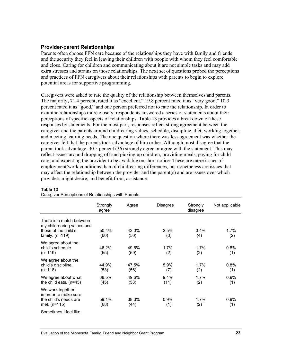### **Provider-parent Relationships**

Parents often choose FFN care because of the relationships they have with family and friends and the security they feel in leaving their children with people with whom they feel comfortable and close. Caring for children and communicating about it are not simple tasks and may add extra stresses and strains on those relationships. The next set of questions probed the perceptions and practices of FFN caregivers about their relationships with parents to begin to explore potential areas for supportive programming.

Caregivers were asked to rate the quality of the relationship between themselves and parents. The majority, 71.4 percent, rated it as "excellent," 19.8 percent rated it as "very good," 10.3 percent rated it as "good," and one person preferred not to rate the relationship. In order to examine relationships more closely, respondents answered a series of statements about their perceptions of specific aspects of relationships. Table 13 provides a breakdown of these responses by statements. For the most part, responses reflect strong agreement between the caregiver and the parents around childrearing values, schedule, discipline, diet, working together, and meeting learning needs. The one question where there was less agreement was whether the caregiver felt that the parents took advantage of him or her. Although most disagree that the parent took advantage, 30.5 percent (36) strongly agree or agree with the statement. This may reflect issues around dropping off and picking up children, providing meals, paying for child care, and expecting the provider to be available on short notice. These are more issues of employment/work conditions than of childrearing differences, but nonetheless are issues that may affect the relationship between the provider and the parent(s) and are issues over which providers might desire, and benefit from, assistance.

|                                                                                                     | Strongly<br>agree | Agree         | Disagree     | Strongly<br>disagree | Not applicable |
|-----------------------------------------------------------------------------------------------------|-------------------|---------------|--------------|----------------------|----------------|
| There is a match between<br>my childrearing values and<br>those of the child's<br>family. $(n=119)$ | 50.4%<br>(60)     | 42.0%<br>(50) | 2.5%<br>(3)  | $3.4\%$<br>(4)       | $1.7\%$<br>(2) |
| We agree about the<br>child's schedule.<br>$(n=119)$                                                | 46.2%<br>(55)     | 49.6%<br>(59) | 1.7%<br>(2)  | 1.7%<br>(2)          | 0.8%<br>(1)    |
| We agree about the<br>child's discipline.<br>$(n+118)$                                              | 44.9%<br>(53)     | 47.5%<br>(56) | 5.9%<br>(7)  | 1.7%<br>(2)          | 0.8%<br>(1)    |
| We agree about what<br>the child eats. $(n=45)$                                                     | 38.5%<br>(45)     | 49.6%<br>(58) | 9.4%<br>(11) | 1.7%<br>(2)          | 0.9%<br>(1)    |
| We work together<br>in order to make sure<br>the child's needs are<br>met. $(n=115)$                | 59.1%<br>(68)     | 38.3%<br>(44) | 0.9%<br>(1)  | 1.7%<br>(2)          | 0.9%<br>(1)    |
| Sometimes I feel like                                                                               |                   |               |              |                      |                |

#### **Table 13**

Caregiver Perceptions of Relationships with Parents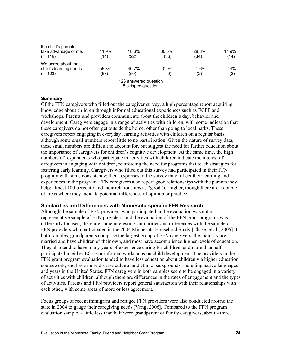|                                                            |               | 123 answered question<br>8 skipped question |                |               |                |
|------------------------------------------------------------|---------------|---------------------------------------------|----------------|---------------|----------------|
| We agree about the<br>child's learning needs.<br>$(n=123)$ | 55.3%<br>(68) | 40.7%<br>(50)                               | $0.0\%$<br>(0) | 1.6%<br>(2)   | $2.4\%$<br>(3) |
| the child's parents<br>take advantage of me.<br>$(n=118)$  | 11.9%<br>(14) | 18.6%<br>(22)                               | 30.5%<br>(36)  | 28.8%<br>(34) | 11.9%<br>(14)  |

#### **Summary**

Of the FFN caregivers who filled out the caregiver survey, a high percentage report acquiring knowledge about children through informal educational experiences such as ECFE and workshops. Parents and providers communicate about the children's day, behavior and development. Caregivers engage in a range of activities with children, with some indication that these caregivers do not often get outside the home, other than going to local parks. These caregivers report engaging in everyday learning activities with children on a regular basis, although some small numbers report little to no participation. Given the nature of survey data, these small numbers are difficult to account for, but suggest the need for further education about the importance of caregivers for children's cognitive development. At the same time, the high numbers of respondents who participate in activities with children indicate the interest of caregivers in engaging with children, reinforcing the need for programs that teach strategies for fostering early learning. Caregivers who filled out this survey had participated in their FFN program with some consistency; their responses to the survey may reflect their learning and experiences in the program. FFN caregivers also report good relationships with the parents they help; almost 100 percent rated their relationships as "good" or higher, though there are a couple of areas where they indicate potential differences of opinion or practice.

### **Similarities and Differences with Minnesota-specific FFN Research**

Although the sample of FFN providers who participated in the evaluation was not a representative sample of FFN providers, and the evaluation of the FFN grant programs was differently focused, there are some interesting similarities and differences with the sample of FFN providers who participated in the 2004 Minnesota Household Study [Chase, et al., 2006]. In both samples, grandparents comprise the largest group of FFN caregivers, the majority are married and have children of their own, and most have accomplished higher levels of education. They also tend to have many years of experience caring for children, and more than half participated in either ECFE or informal workshops on child development. The providers in the FFN grant program evaluation tended to have less education about children via higher education coursework, and have more diverse cultural and ethnic backgrounds, including native languages and years in the United States. FFN caregivers in both samples seem to be engaged in a variety of activities with children, although there are differences in the rates of engagement and the types of activities. Parents and FFN providers report general satisfaction with their relationships with each other, with some areas of more or less agreement.

Focus groups of recent immigrant and refugee FFN providers were also conducted around the state in 2004 to gauge their caregiving needs [Vang, 2006]. Compared to the FFN program evaluation sample, a little less than half were grandparent or family caregivers, about a third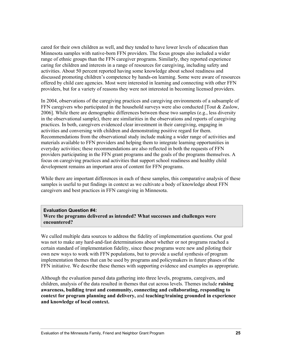cared for their own children as well, and they tended to have lower levels of education than Minnesota samples with native-born FFN providers. The focus groups also included a wider range of ethnic groups than the FFN caregiver programs. Similarly, they reported experience caring for children and interests in a range of resources for caregiving, including safety and activities. About 50 percent reported having some knowledge about school readiness and discussed promoting children's competence by hands-on learning. Some were aware of resources offered by child care agencies. Most were interested in learning and connecting with other FFN providers, but for a variety of reasons they were not interested in becoming licensed providers.

In 2004, observations of the caregiving practices and caregiving environments of a subsample of FFN caregivers who participated in the household surveys were also conducted [Tout  $\&$  Zaslow, 2006]. While there are demographic differences between these two samples (e.g., less diversity in the observational sample), there are similarities in the observations and reports of caregiving practices. In both, caregivers evidenced clear investment in their caregiving, engaging in activities and conversing with children and demonstrating positive regard for them. Recommendations from the observational study include making a wider range of activities and materials available to FFN providers and helping them to integrate learning opportunities in everyday activities; these recommendations are also reflected in both the requests of FFN providers participating in the FFN grant programs and the goals of the programs themselves. A focus on caregiving practices and activities that support school readiness and healthy child development remains an important area of content for FFN programs.

While there are important differences in each of these samples, this comparative analysis of these samples is useful to put findings in context as we cultivate a body of knowledge about FFN caregivers and best practices in FFN caregiving in Minnesota.

**Evaluation Question #4: Were the programs delivered as intended? What successes and challenges were encountered?** 

We culled multiple data sources to address the fidelity of implementation questions. Our goal was not to make any hard-and-fast determinations about whether or not programs reached a certain standard of implementation fidelity, since these programs were new and piloting their own new ways to work with FFN populations, but to provide a useful synthesis of program implementation themes that can be used by programs and policymakers in future phases of the FFN initiative. We describe these themes with supporting evidence and examples as appropriate.

Although the evaluation parsed data gathering into three levels, programs, caregivers, and children, analysis of the data resulted in themes that cut across levels. Themes include **raising awareness, building trust and community, connecting and collaborating, responding to context for program planning and delivery,** and **teaching/training grounded in experience and knowledge of local context.**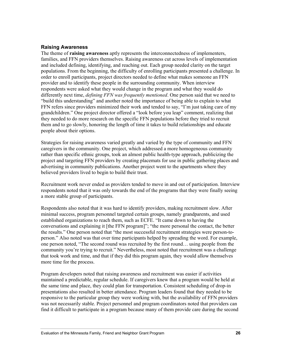### **Raising Awareness**

The theme of **raising awareness** aptly represents the interconnectedness of implementers, families, and FFN providers themselves. Raising awareness cut across levels of implementation and included defining, identifying, and reaching out. Each group needed clarity on the target populations. From the beginning, the difficulty of enrolling participants presented a challenge. In order to enroll participants, project directors needed to define what makes someone an FFN provider and to identify these people in the surrounding community. When interview respondents were asked what they would change in the program and what they would do differently next time, *defining FFN was frequently mentioned*. One person said that we need to "build this understanding" and another noted the importance of being able to explain to what FFN refers since providers minimized their work and tended to say, "I'm just taking care of my grandchildren." One project director offered a "look before you leap" comment, realizing that they needed to do more research on the specific FFN populations before they tried to recruit them and to go slowly, honoring the length of time it takes to build relationships and educate people about their options.

Strategies for raising awareness varied greatly and varied by the type of community and FFN caregivers in the community. One project, which addressed a more homogeneous community rather than specific ethnic groups, took an almost public health-type approach, publicizing the project and targeting FFN providers by creating placemats for use in public gathering places and advertising in community publications. Another project went to the apartments where they believed providers lived to begin to build their trust.

Recruitment work never ended as providers tended to move in and out of participation. Interview respondents noted that it was only towards the end of the programs that they were finally seeing a more stable group of participants.

Respondents also noted that it was hard to identify providers, making recruitment slow. After minimal success, program personnel targeted certain groups, namely grandparents, and used established organizations to reach them, such as ECFE. "It came down to having the conversations and explaining it [the FFN program]"; "the more personal the contact, the better the results." One person noted that "the most successful recruitment strategies were person-toperson." Also noted was that over time participants helped by spreading the word. For example, one person noted, "The second round was recruited by the first round… using people from the community you're trying to recruit." Nevertheless, most noted that recruitment was a challenge that took work and time, and that if they did this program again, they would allow themselves more time for the process.

Program developers noted that raising awareness and recruitment was easier if activities maintained a predictable, regular schedule. If caregivers knew that a program would be held at the same time and place, they could plan for transportation. Consistent scheduling of drop-in presentations also resulted in better attendance. Program leaders found that they needed to be responsive to the particular group they were working with, but the availability of FFN providers was not necessarily stable. Project personnel and program coordinators noted that providers can find it difficult to participate in a program because many of them provide care during the second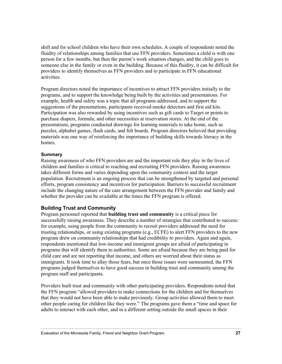shift and for school children who have their own schedules. A couple of respondents noted the fluidity of relationships among families that use FFN providers. Sometimes a child is with one person for a few months, but then the parent's work situation changes, and the child goes to someone else in the family or even in the building. Because of this fluidity, it can be difficult for providers to identify themselves as FFN providers and to participate in FFN educational activities.

Program directors noted the importance of incentives to attract FFN providers initially to the programs, and to support the knowledge being built by the activities and presentations. For example, health and safety was a topic that all programs addressed, and to support the suggestions of the presentations, participants received smoke detectors and first aid kits. Participation was also rewarded by using incentives such as gift cards to Target or points to purchase diapers, formula, and other necessities at reservation stores. At the end of the presentations, programs conducted drawings for learning materials to take home, such as puzzles, alphabet games, flash cards, and felt boards. Program directors believed that providing materials was one way of reinforcing the importance of building skills towards literacy in the homes.

### **Summary**

Raising awareness of who FFN providers are and the important role they play in the lives of children and families is critical to reaching and recruiting FFN providers. Raising awareness takes different forms and varies depending upon the community context and the target population. Recruitment is an ongoing process that can be strengthened by targeted and personal efforts, program consistency and incentives for participation. Barriers to successful recruitment include the changing nature of the care arrangement between the FFN provider and family and whether the provider can be available at the times the FFN program is offered.

# **Building Trust and Community**

Program personnel reported that **building trust and community** is a critical piece for successfully raising awareness. They describe a number of strategies that contributed to success: for example, using people from the community to recruit providers addressed the need for trusting relationships, or using existing programs (e.g., ECFE) to alert FFN providers to the new program drew on community relationships that had credibility to providers. Again and again, respondents mentioned that low-income and immigrant groups are afraid of participating in programs that will identify them to authorities. Some are afraid because they are being paid for child care and are not reporting that income, and others are worried about their status as immigrants. It took time to allay those fears, but once those issues were surmounted, the FFN programs judged themselves to have good success in building trust and community among the program staff and participants.

Providers built trust and community with other participating providers. Respondents noted that the FFN program "allowed providers to make connections for the children and for themselves that they would not have been able to make previously. Group activities allowed them to meet other people caring for children like they were." The programs gave them a "time and space for adults to interact with each other, and in a different setting outside the small spaces in their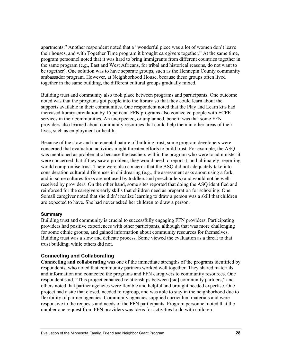apartments." Another respondent noted that a "wonderful piece was a lot of women don't leave their houses, and with Together Time program it brought caregivers together." At the same time, program personnel noted that it was hard to bring immigrants from different countries together in the same program (e.g., East and West Africans, for tribal and historical reasons, do not want to be together). One solution was to have separate groups, such as the Hennepin County community ambassador program. However, at Neighborhood House, because these groups often lived together in the same building, the different cultural groups gradually mixed.

Building trust and community also took place between programs and participants. One outcome noted was that the programs got people into the library so that they could learn about the supports available in their communities. One respondent noted that the Play and Learn kits had increased library circulation by 15 percent. FFN programs also connected people with ECFE services in their communities. An unexpected, or unplanned, benefit was that some FFN providers also learned about community resources that could help them in other areas of their lives, such as employment or health.

Because of the slow and incremental nature of building trust, some program developers were concerned that evaluation activities might threaten efforts to build trust. For example, the ASQ was mentioned as problematic because the teachers within the program who were to administer it were concerned that if they saw a problem, they would need to report it, and ultimately, reporting would compromise trust. There were also concerns that the ASQ did not adequately take into consideration cultural differences in childrearing (e.g., the assessment asks about using a fork, and in some cultures forks are not used by toddlers and preschoolers) and would not be wellreceived by providers. On the other hand, some sites reported that doing the ASQ identified and reinforced for the caregivers early skills that children need as preparation for schooling. One Somali caregiver noted that she didn't realize learning to draw a person was a skill that children are expected to have. She had never asked her children to draw a person.

#### **Summary**

Building trust and community is crucial to successfully engaging FFN providers. Participating providers had positive experiences with other participants, although that was more challenging for some ethnic groups, and gained information about community resources for themselves. Building trust was a slow and delicate process. Some viewed the evaluation as a threat to that trust building, while others did not.

### **Connecting and Collaborating**

**Connecting and collaborating** was one of the immediate strengths of the programs identified by respondents, who noted that community partners worked well together. They shared materials and information and connected the programs and FFN caregivers to community resources. One respondent said, "This project enhanced relationships between [sic] community partners," and others noted that partner agencies were flexible and helpful and brought needed expertise. One project had a site that closed, needed to regroup, and was able to stay in the neighborhood due to flexibility of partner agencies. Community agencies supplied curriculum materials and were responsive to the requests and needs of the FFN participants. Program personnel noted that the number one request from FFN providers was ideas for activities to do with children.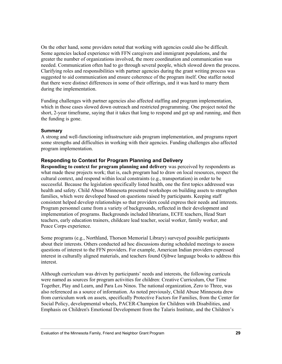On the other hand, some providers noted that working with agencies could also be difficult. Some agencies lacked experience with FFN caregivers and immigrant populations, and the greater the number of organizations involved, the more coordination and communication was needed. Communication often had to go through several people, which slowed down the process. Clarifying roles and responsibilities with partner agencies during the grant writing process was suggested to aid communication and ensure coherence of the program itself. One staffer noted that there were distinct differences in some of their offerings, and it was hard to marry them during the implementation.

Funding challenges with partner agencies also affected staffing and program implementation, which in those cases slowed down outreach and restricted programming. One project noted the short, 2-year timeframe, saying that it takes that long to respond and get up and running, and then the funding is gone.

### **Summary**

A strong and well-functioning infrastructure aids program implementation, and programs report some strengths and difficulties in working with their agencies. Funding challenges also affected program implementation.

# **Responding to Context for Program Planning and Delivery**

**Responding to context for program planning and delivery** was perceived by respondents as what made these projects work; that is, each program had to draw on local resources, respect the cultural context, and respond within local constraints (e.g., transportation) in order to be successful. Because the legislation specifically listed health, one the first topics addressed was health and safety. Child Abuse Minnesota presented workshops on building assets to strengthen families, which were developed based on questions raised by participants. Keeping staff consistent helped develop relationships so that providers could express their needs and interests. Program personnel came from a variety of backgrounds, reflected in their development and implementation of programs. Backgrounds included librarians, ECFE teachers, Head Start teachers, early education trainers, childcare lead teacher, social worker, family worker, and Peace Corps experience.

Some programs (e.g., Northland, Thorson Memorial Library) surveyed possible participants about their interests. Others conducted ad hoc discussions during scheduled meetings to assess questions of interest to the FFN providers. For example, American Indian providers expressed interest in culturally aligned materials, and teachers found Ojibwe language books to address this interest.

Although curriculum was driven by participants' needs and interests, the following curricula were named as sources for program activities for children: Creative Curriculum, Our Time Together, Play and Learn, and Para Los Ninos. The national organization, Zero to Three, was also referenced as a source of information. As noted previously, Child Abuse Minnesota drew from curriculum work on assets, specifically Protective Factors for Families, from the Center for Social Policy, developmental wheels, PACER-Champion for Children with Disabilities, and Emphasis on Children's Emotional Development from the Talaris Institute, and the Children's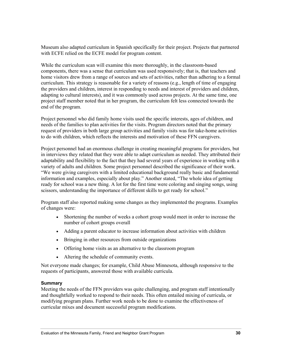Museum also adapted curriculum in Spanish specifically for their project. Projects that partnered with ECFE relied on the ECFE model for program content.

While the curriculum scan will examine this more thoroughly, in the classroom-based components, there was a sense that curriculum was used responsively; that is, that teachers and home visitors drew from a range of sources and sets of activities, rather than adhering to a formal curriculum. This strategy is reasonable for a variety of reasons (e.g., length of time of engaging the providers and children, interest in responding to needs and interest of providers and children, adapting to cultural interests), and it was commonly used across projects. At the same time, one project staff member noted that in her program, the curriculum felt less connected towards the end of the program.

Project personnel who did family home visits used the specific interests, ages of children, and needs of the families to plan activities for the visits. Program directors noted that the primary request of providers in both large group activities and family visits was for take-home activities to do with children, which reflects the interests and motivation of these FFN caregivers.

Project personnel had an enormous challenge in creating meaningful programs for providers, but in interviews they related that they were able to adapt curriculum as needed. They attributed their adaptability and flexibility to the fact that they had several years of experience in working with a variety of adults and children. Some project personnel described the significance of their work. "We were giving caregivers with a limited educational background really basic and fundamental information and examples, especially about play." Another stated, "The whole idea of getting ready for school was a new thing. A lot for the first time were coloring and singing songs, using scissors, understanding the importance of different skills to get ready for school."

Program staff also reported making some changes as they implemented the programs. Examples of changes were:

- Shortening the number of weeks a cohort group would meet in order to increase the number of cohort groups overall
- Adding a parent educator to increase information about activities with children
- Bringing in other resources from outside organizations
- Offering home visits as an alternative to the classroom program
- Altering the schedule of community events.

Not everyone made changes; for example, Child Abuse Minnesota, although responsive to the requests of participants, answered those with available curricula.

# **Summary**

Meeting the needs of the FFN providers was quite challenging, and program staff intentionally and thoughtfully worked to respond to their needs. This often entailed mixing of curricula, or modifying program plans. Further work needs to be done to examine the effectiveness of curricular mixes and document successful program modifications.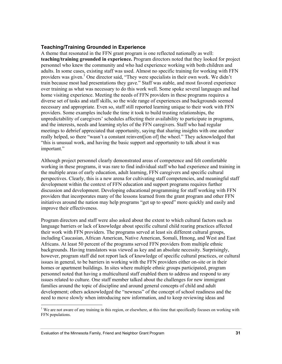### **Teaching/Training Grounded in Experience**

A theme that resonated in the FFN grant program is one reflected nationally as well: **teaching/training grounded in experience.** Program directors noted that they looked for project personnel who knew the community and who had experience working with both children and adults. In some cases, existing staff was used. Almost no specific training for working with FFN providers was given.<sup>1</sup> One director said, "They were specialists in their own work. We didn't train because most had presentations they gave." Staff was stable, and most favored experience over training as what was necessary to do this work well. Some spoke several languages and had home visiting experience. Meeting the needs of FFN providers in these programs requires a diverse set of tasks and staff skills, so the wide range of experiences and backgrounds seemed necessary and appropriate. Even so, staff still reported learning unique to their work with FFN providers. Some examples include the time it took to build trusting relationships, the unpredictability of caregivers' schedules affecting their availability to participate in programs, and the interests, needs and learning styles of the FFN caregivers. Staff who had regular meetings to debrief appreciated that opportunity, saying that sharing insights with one another really helped, so there "wasn't a constant reinvent[ion of] the wheel." They acknowledged that "this is unusual work, and having the basic support and opportunity to talk about it was important."

Although project personnel clearly demonstrated areas of competence and felt comfortable working in these programs, it was rare to find individual staff who had experience and training in the multiple areas of early education, adult learning, FFN caregivers and specific cultural perspectives. Clearly, this is a new arena for cultivating staff competencies, and meaningful staff development within the context of FFN education and support programs requires further discussion and development. Developing educational programming for staff working with FFN providers that incorporates many of the lessons learned from the grant program and other FFN initiatives around the nation may help programs "get up to speed" more quickly and easily and improve their effectiveness.

Program directors and staff were also asked about the extent to which cultural factors such as language barriers or lack of knowledge about specific cultural child rearing practices affected their work with FFN providers. The programs served at least six different cultural groups, including Caucasian, African American, Native American, Somali, Hmong, and West and East Africans. At least 50 percent of the programs served FFN providers from multiple ethnic backgrounds. Having translators was viewed as key and an absolute necessity. Surprisingly, however, program staff did not report lack of knowledge of specific cultural practices, or cultural issues in general, to be barriers in working with the FFN providers either on-site or in their homes or apartment buildings. In sites where multiple ethnic groups participated, program personnel noted that having a multicultural staff enabled them to address and respond to any issues related to culture. One staff member talked about the challenges for new immigrant families around the topic of discipline and around general concepts of child and adult development; others acknowledged the "newness" of the concept of school readiness and the need to move slowly when introducing new information, and to keep reviewing ideas and

l

 $1$  We are not aware of any training in this region, or elsewhere, at this time that specifically focuses on working with FFN populations.

Evaluation of the Minnesota Family, Friend and Neighbor Grant Program **31**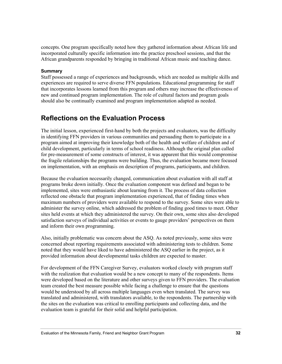concepts. One program specifically noted how they gathered information about African life and incorporated culturally specific information into the practice preschool sessions, and that the African grandparents responded by bringing in traditional African music and teaching dance.

### **Summary**

Staff possessed a range of experiences and backgrounds, which are needed as multiple skills and experiences are required to serve diverse FFN populations. Educational programming for staff that incorporates lessons learned from this program and others may increase the effectiveness of new and continued program implementation. The role of cultural factors and program goals should also be continually examined and program implementation adapted as needed.

# **Reflections on the Evaluation Process**

The initial lesson, experienced first-hand by both the projects and evaluators, was the difficulty in identifying FFN providers in various communities and persuading them to participate in a program aimed at improving their knowledge both of the health and welfare of children and of child development, particularly in terms of school readiness. Although the original plan called for pre-measurement of some constructs of interest, it was apparent that this would compromise the fragile relationships the programs were building. Thus, the evaluation became more focused on implementation, with an emphasis on description of programs, participants, and children.

Because the evaluation necessarily changed, communication about evaluation with all staff at programs broke down initially. Once the evaluation component was defined and began to be implemented, sites were enthusiastic about learning from it. The process of data collection reflected one obstacle that program implementation experienced, that of finding times when maximum numbers of providers were available to respond to the survey. Some sites were able to administer the survey online, which addressed the problem of finding good times to meet. Other sites held events at which they administered the survey. On their own, some sites also developed satisfaction surveys of individual activities or events to gauge providers' perspectives on them and inform their own programming.

Also, initially problematic was concern about the ASQ. As noted previously, some sites were concerned about reporting requirements associated with administering tests to children. Some noted that they would have liked to have administered the ASQ earlier in the project, as it provided information about developmental tasks children are expected to master.

For development of the FFN Caregiver Survey, evaluators worked closely with program staff with the realization that evaluation would be a new concept to many of the respondents. Items were developed based on the literature and other surveys given to FFN providers. The evaluation team created the best measure possible while facing a challenge to ensure that the questions would be understood by all across multiple languages even when translated. The survey was translated and administered, with translators available, to the respondents. The partnership with the sites on the evaluation was critical to enrolling participants and collecting data, and the evaluation team is grateful for their solid and helpful participation.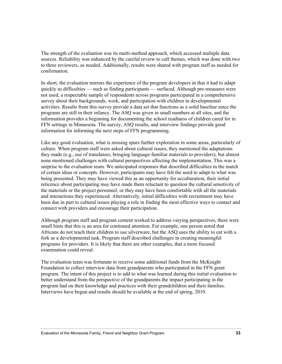The strength of the evaluation was its multi-method approach, which accessed multiple data sources. Reliability was enhanced by the careful review to cull themes, which was done with two to three reviewers, as needed. Additionally, results were shared with program staff as needed for confirmation.

In short, the evaluation mirrors the experience of the program developers in that it had to adapt quickly as difficulties — such as finding participants — surfaced. Although pre-measures were not used, a respectable sample of respondents across programs participated in a comprehensive survey about their backgrounds, work, and participation with children in developmental activities. Results from this survey provide a data set that functions as a solid baseline since the programs are still in their infancy. The ASQ was given in small numbers at all sites, and the information provides a beginning for documenting the school readiness of children cared for in FFN settings in Minnesota. The survey, ASQ results, and interview findings provide good information for informing the next steps of FFN programming.

Like any good evaluation, what is missing spurs further exploration in some areas, particularly of culture. When program staff were asked about cultural issues, they mentioned the adaptations they made (e.g., use of translators, bringing language-familiar materials to providers), but almost none mentioned challenges with cultural perspectives affecting the implementation. This was a surprise to the evaluation team. We anticipated responses that described difficulties in the match of certain ideas or concepts. However, participants may have felt the need to adapt to what was being presented. They may have viewed this as an opportunity for acculturation, their initial reticence about participating may have made them reluctant to question the cultural sensitivity of the materials or the project personnel, or they may have been comfortable with all the materials and interactions they experienced. Alternatively, initial difficulties with recruitment may have been due in part to cultural issues playing a role in finding the most effective ways to contact and connect with providers and encourage their participation.

Although program staff and program content worked to address varying perspectives, there were small hints that this is an area for continued attention. For example, one person noted that Africans do not teach their children to use silverware, but the ASQ uses the ability to eat with a fork as a developmental task. Program staff described challenges in creating meaningful programs for providers. It is likely that there are other examples, that a more focused examination could reveal.

The evaluation team was fortunate to receive some additional funds from the McKnight Foundation to collect interview data from grandparents who participated in the FFN grant program. The intent of this project is to add to what was learned during this initial evaluation to better understand from the perspective of the grandparents the impact participating in the program had on their knowledge and practices with their grandchildren and their families. Interviews have begun and results should be available at the end of spring, 2010.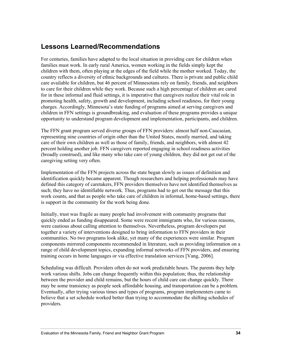# **Lessons Learned/Recommendations**

For centuries, families have adapted to the local situation in providing care for children when families must work. In early rural America, women working in the fields simply kept the children with them, often playing at the edges of the field while the mother worked. Today, the country reflects a diversity of ethnic backgrounds and cultures. There is private and public child care available for children, but 46 percent of Minnesotans rely on family, friends, and neighbors to care for their children while they work. Because such a high percentage of children are cared for in these informal and fluid settings, it is imperative that caregivers realize their vital role in promoting health, safety, growth and development, including school readiness, for their young charges. Accordingly, Minnesota's state funding of programs aimed at serving caregivers and children in FFN settings is groundbreaking, and evaluation of these programs provides a unique opportunity to understand program development and implementation, participants, and children.

The FFN grant program served diverse groups of FFN providers: almost half non-Caucasian, representing nine countries of origin other than the United States, mostly married, and taking care of their own children as well as those of family, friends, and neighbors, with almost 42 percent holding another job. FFN caregivers reported engaging in school readiness activities (broadly construed), and like many who take care of young children, they did not get out of the caregiving setting very often.

Implementation of the FFN projects across the state began slowly as issues of definition and identification quickly became apparent. Though researchers and helping professionals may have defined this category of caretakers, FFN providers themselves have not identified themselves as such; they have no identifiable network. Thus, programs had to get out the message that this work counts, and that as people who take care of children in informal, home-based settings, there is support in the community for the work being done.

Initially, trust was fragile as many people had involvement with community programs that quickly ended as funding disappeared. Some were recent immigrants who, for various reasons, were cautious about calling attention to themselves. Nevertheless, program developers put together a variety of interventions designed to bring information to FFN providers in their communities. No two programs look alike, yet many of the experiences were similar. Program components mirrored components recommended in literature, such as providing information on a range of child development topics, expanding informal networks of FFN providers, and ensuring training occurs in home languages or via effective translation services [Vang, 2006].

Scheduling was difficult. Providers often do not work predictable hours. The parents they help work various shifts. Jobs can change frequently within this population; thus, the relationship between the provider and child remains, but the hours of child care can change quickly. There may be some transiency as people seek affordable housing, and transportation can be a problem. Eventually, after trying various times and types of programs, program implementers came to believe that a set schedule worked better than trying to accommodate the shifting schedules of providers.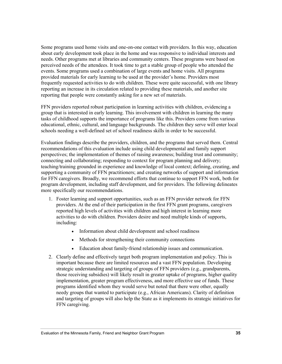Some programs used home visits and one-on-one contact with providers. In this way, education about early development took place in the home and was responsive to individual interests and needs. Other programs met at libraries and community centers. These programs were based on perceived needs of the attendees. It took time to get a stable group of people who attended the events. Some programs used a combination of large events and home visits. All programs provided materials for early learning to be used at the provider's home. Providers most frequently requested activities to do with children. These were quite successful, with one library reporting an increase in its circulation related to providing these materials, and another site reporting that people were constantly asking for a new set of materials.

FFN providers reported robust participation in learning activities with children, evidencing a group that is interested in early learning. This involvement with children in learning the many tasks of childhood supports the importance of programs like this. Providers come from various educational, ethnic, cultural, and language backgrounds. The children they serve will enter local schools needing a well-defined set of school readiness skills in order to be successful.

Evaluation findings describe the providers, children, and the programs that served them. Central recommendations of this evaluation include using child developmental and family support perspectives; the implementation of themes of raising awareness; building trust and community; connecting and collaborating; responding to context for program planning and delivery; teaching/training grounded in experience and knowledge of local context; defining, creating, and supporting a community of FFN practitioners; and creating networks of support and information for FFN caregivers. Broadly, we recommend efforts that continue to support FFN work, both for program development, including staff development, and for providers. The following delineates more specifically our recommendations.

- 1. Foster learning and support opportunities, such as an FFN provider network for FFN providers. At the end of their participation in the first FFN grant programs, caregivers reported high levels of activities with children and high interest in learning more activities to do with children. Providers desire and need multiple kinds of supports, including:
	- Information about child development and school readiness
	- Methods for strengthening their community connections
	- Education about family-friend relationship issues and communication.
- 2. Clearly define and effectively target both program implementation and policy. This is important because there are limited resources and a vast FFN population. Developing strategic understanding and targeting of groups of FFN providers (e.g., grandparents, those receiving subsidies) will likely result in greater uptake of programs, higher quality implementation, greater program effectiveness, and more effective use of funds. These programs identified whom they would serve but noted that there were other, equally needy groups that wanted to participate (e.g., African Americans). Clarity of definition and targeting of groups will also help the State as it implements its strategic initiatives for FFN caregiving.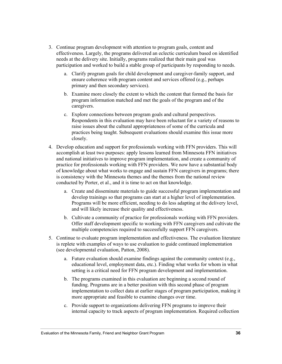- 3. Continue program development with attention to program goals, content and effectiveness. Largely, the programs delivered an eclectic curriculum based on identified needs at the delivery site. Initially, programs realized that their main goal was participation and worked to build a stable group of participants by responding to needs.
	- a. Clarify program goals for child development and caregiver-family support, and ensure coherence with program content and services offered (e.g., perhaps primary and then secondary services).
	- b. Examine more closely the extent to which the content that formed the basis for program information matched and met the goals of the program and of the caregivers.
	- c. Explore connections between program goals and cultural perspectives. Respondents in this evaluation may have been reluctant for a variety of reasons to raise issues about the cultural appropriateness of some of the curricula and practices being taught. Subsequent evaluations should examine this issue more closely.
- 4. Develop education and support for professionals working with FFN providers. This will accomplish at least two purposes: apply lessons learned from Minnesota FFN initiatives and national initiatives to improve program implementation, and create a community of practice for professionals working with FFN providers. We now have a substantial body of knowledge about what works to engage and sustain FFN caregivers in programs; there is consistency with the Minnesota themes and the themes from the national review conducted by Porter, et al., and it is time to act on that knowledge.
	- a. Create and disseminate materials to guide successful program implementation and develop trainings so that programs can start at a higher level of implementation. Programs will be more efficient, needing to do less adapting at the delivery level, and will likely increase their quality and effectiveness.
	- b. Cultivate a community of practice for professionals working with FFN providers. Offer staff development specific to working with FFN caregivers and cultivate the multiple competencies required to successfully support FFN caregivers.
- 5. Continue to evaluate program implementation and effectiveness. The evaluation literature is replete with examples of ways to use evaluation to guide continued implementation (see developmental evaluation, Patton, 2008).
	- a. Future evaluation should examine findings against the community context (e.g., educational level, employment data, etc.). Finding what works for whom in what setting is a critical need for FFN program development and implementation.
	- b. The programs examined in this evaluation are beginning a second round of funding. Programs are in a better position with this second phase of program implementation to collect data at earlier stages of program participation, making it more appropriate and feasible to examine changes over time.
	- c. Provide support to organizations delivering FFN programs to improve their internal capacity to track aspects of program implementation. Required collection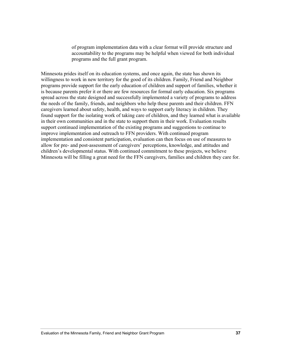of program implementation data with a clear format will provide structure and accountability to the programs may be helpful when viewed for both individual programs and the full grant program.

Minnesota prides itself on its education systems, and once again, the state has shown its willingness to work in new territory for the good of its children. Family, Friend and Neighbor programs provide support for the early education of children and support of families, whether it is because parents prefer it or there are few resources for formal early education. Six programs spread across the state designed and successfully implemented a variety of programs to address the needs of the family, friends, and neighbors who help these parents and their children. FFN caregivers learned about safety, health, and ways to support early literacy in children. They found support for the isolating work of taking care of children, and they learned what is available in their own communities and in the state to support them in their work. Evaluation results support continued implementation of the existing programs and suggestions to continue to improve implementation and outreach to FFN providers. With continued program implementation and consistent participation, evaluation can then focus on use of measures to allow for pre- and post-assessment of caregivers' perceptions, knowledge, and attitudes and children's developmental status. With continued commitment to these projects, we believe Minnesota will be filling a great need for the FFN caregivers, families and children they care for.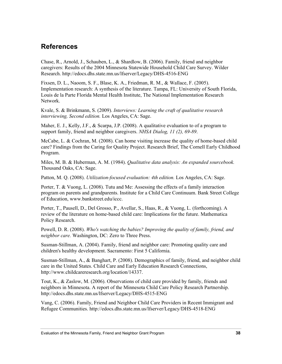# **References**

Chase, R., Arnold, J., Schauben, L., & Shardlow, B. (2006). Family, friend and neighbor caregivers: Results of the 2004 Minnesota Statewide Household Child Care Survey. Wilder Research. http://edocs.dhs.state.mn.us/lfserver/Legacy/DHS-4516-ENG

Fixsen, D. L., Naoom, S. F., Blase, K. A., Friedman, R. M., & Wallace, F. (2005). Implementation research: A synthesis of the literature. Tampa, FL: University of South Florida, Louis de la Parte Florida Mental Health Institute, The National Implementation Research Network.

Kvale, S. & Brinkmann, S. (2009). *Interviews: Learning the craft of qualitative research interviewing, Second edition.* Los Angeles, CA: Sage.

Maher, E. J., Kelly, J.F., & Scarpa, J.P. (2008). A qualitative evaluation to of a program to support family, friend and neighbor caregivers. *NHSA Dialog, 11 (2), 69-89*.

McCabe, L. & Cochran, M. (2008). Can home visiting increase the quality of home-based child care? Findings from the Caring for Quality Project. Research Brief, The Cornell Early Childhood Program.

Miles, M. B. & Huberman, A. M. (1984). *Qualitative data analysis: An expanded sourcebook.* Thousand Oaks, CA: Sage.

Patton, M. Q. (2008). *Utilization-focused evaluation: 4th edition.* Los Angeles, CA: Sage.

Porter, T. & Vuong, L. (2008). Tutu and Me: Assessing the effects of a family interaction program on parents and grandparents. Institute for a Child Care Continuum. Bank Street College of Education, www.bankstreet.edu/iccc.

Porter, T., Pausell, D., Del Grosso, P., Avellar, S., Haas, R., & Vuong, L. (forthcoming). A review of the literature on home-based child care: Implications for the future. Mathematica Policy Research.

Powell, D. R. (2008). *Who's watching the babies? Improving the quality of family, friend, and neighbor care.* Washington, DC: Zero to Three Press.

Susman-Stillman, A. (2004). Family, friend and neighbor care: Promoting quality care and children's healthy development. Sacramento: First 5 California.

Susman-Stillman, A., & Banghart, P. (2008). Demographics of family, friend, and neighbor child care in the United States. Child Care and Early Education Research Connections, http://www.childcareresearch.org/location/14337.

Tout, K., & Zaslow, M. (2006). Observations of child care provided by family, friends and neighbors in Minnesota. A report of the Minnesota Child Care Policy Research Partnership. http://edocs.dhs.state.mn.us/lfserver/Legacy/DHS-4515-ENG

Vang, C. (2006). Family, Friend and Neighbor Child Care Providers in Recent Immigrant and Refugee Communities. http://edocs.dhs.state.mn.us/lfserver/Legacy/DHS-4518-ENG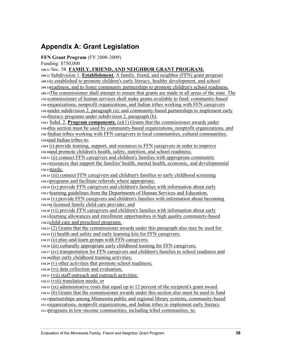# **Appendix A: Grant Legislation**

### **FFN Grant Program** (FY 2008-2009)

Funding: \$750,000

*109.31* Sec. 58. **FAMILY, FRIEND, AND NEIGHBOR GRANT PROGRAM.**

*109.32* Subdivision 1. **Establishment.** A family, friend, and neighbor (FFN) grant program *109.33*is established to promote children's early literacy, healthy development, and school *109.34*readiness, and to foster community partnerships to promote children's school readiness. *109.35*The commissioner shall attempt to ensure that grants are made in all areas of the state. The *110.1*commissioner of human services shall make grants available to fund: community-based *110.2*organizations, nonprofit organizations, and Indian tribes working with FFN caregivers *110.3*under subdivision 2, paragraph (a); and community-based partnerships to implement early *110.4*literacy programs under subdivision 2, paragraph (b).

*110.5* Subd. 2. **Program components.** (a)(1) Grants that the commissioner awards under *110.6*this section must be used by community-based organizations, nonprofit organizations, and *110.7*Indian tribes working with FFN caregivers in local communities, cultural communities, *110.8*and Indian tribes to:

*110.9* (i) provide training, support, and resources to FFN caregivers in order to improve *110.10*and promote children's health, safety, nutrition, and school readiness;

*110.11* (ii) connect FFN caregivers and children's families with appropriate community *110.12*resources that support the families' health, mental health, economic, and developmental *110.13*needs;

*110.14* (iii) connect FFN caregivers and children's families to early childhood screening *110.15*programs and facilitate referrals where appropriate;

*110.16* (iv) provide FFN caregivers and children's families with information about early *110.17*learning guidelines from the Departments of Human Services and Education;

*110.18* (v) provide FFN caregivers and children's families with information about becoming *110.19*a licensed family child care provider; and

*110.20* (vi) provide FFN caregivers and children's families with information about early *110.21*learning allowances and enrollment opportunities in high quality community-based *110.22*child-care and preschool programs.

*110.23* (2) Grants that the commissioner awards under this paragraph also may be used for:

*110.24* (i) health and safety and early learning kits for FFN caregivers;

*110.25* (ii) play-and-learn groups with FFN caregivers;

*110.26* (iii) culturally appropriate early childhood training for FFN caregivers;

*110.27* (iv) transportation for FFN caregivers and children's families to school readiness and *110.28*other early childhood training activities;

*110.29* (v) other activities that promote school readiness;

*110.30* (vi) data collection and evaluation;

*110.31* (vii) staff outreach and outreach activities;

*110.32* (viii) translation needs; or

*110.33* (ix) administrative costs that equal up to 12 percent of the recipient's grant award.

*110.34* (b) Grants that the commissioner awards under this section also must be used to fund *110.35*partnerships among Minnesota public and regional library systems, community-based *111.1*organizations, nonprofit organizations, and Indian tribes to implement early literacy *111.2*programs in low-income communities, including tribal communities, to: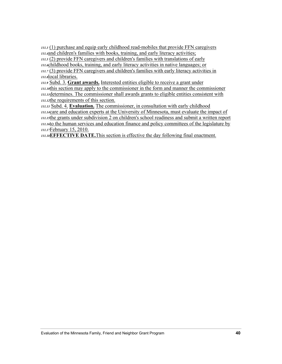*111.3* (1) purchase and equip early childhood read-mobiles that provide FFN caregivers *111.4*and children's families with books, training, and early literacy activities; *111.5* (2) provide FFN caregivers and children's families with translations of early

*111.6*childhood books, training, and early literacy activities in native languages; or *111.7* (3) provide FFN caregivers and children's families with early literacy activities in *111.8*local libraries.

*111.9* Subd. 3. **Grant awards.** Interested entities eligible to receive a grant under *111.10*this section may apply to the commissioner in the form and manner the commissioner *111.11*determines. The commissioner shall awards grants to eligible entities consistent with *111.12*the requirements of this section.

*111.13* Subd. 4. **Evaluation.** The commissioner, in consultation with early childhood *111.14*care and education experts at the University of Minnesota, must evaluate the impact of *111.15*the grants under subdivision 2 on children's school readiness and submit a written report *111.16*to the human services and education finance and policy committees of the legislature by *111.17*February 15, 2010.

*111.18***EFFECTIVE DATE.**This section is effective the day following final enactment.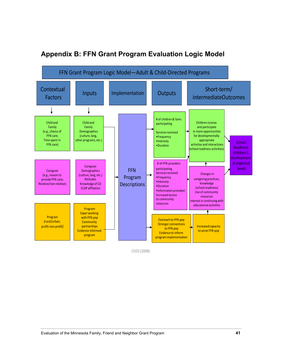

# **Appendix B: FFN Grant Program Evaluation Logic Model**

CEED (2008)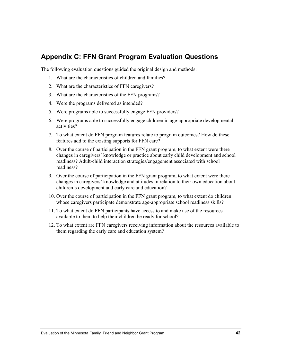## **Appendix C: FFN Grant Program Evaluation Questions**

The following evaluation questions guided the original design and methods:

- 1. What are the characteristics of children and families?
- 2. What are the characteristics of FFN caregivers?
- 3. What are the characteristics of the FFN programs?
- 4. Were the programs delivered as intended?
- 5. Were programs able to successfully engage FFN providers?
- 6. Were programs able to successfully engage children in age-appropriate developmental activities?
- 7. To what extent do FFN program features relate to program outcomes? How do these features add to the existing supports for FFN care?
- 8. Over the course of participation in the FFN grant program, to what extent were there changes in caregivers' knowledge or practice about early child development and school readiness? Adult-child interaction strategies/engagement associated with school readiness?
- 9. Over the course of participation in the FFN grant program, to what extent were there changes in caregivers' knowledge and attitudes in relation to their own education about children's development and early care and education?
- 10. Over the course of participation in the FFN grant program, to what extent do children whose caregivers participate demonstrate age-appropriate school readiness skills?
- 11. To what extent do FFN participants have access to and make use of the resources available to them to help their children be ready for school?
- 12. To what extent are FFN caregivers receiving information about the resources available to them regarding the early care and education system?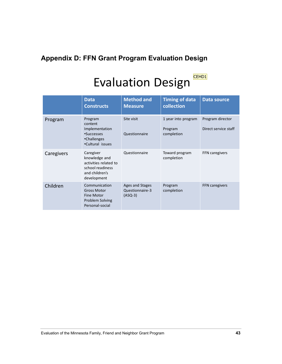# **Appendix D: FFN Grant Program Evaluation Design**

# Evaluation Design CEHD1

|            | <b>Data</b><br><b>Constructs</b>                                                                         | <b>Method and</b><br><b>Measure</b>             | <b>Timing of data</b><br>collection          | <b>Data source</b>                       |
|------------|----------------------------------------------------------------------------------------------------------|-------------------------------------------------|----------------------------------------------|------------------------------------------|
| Program    | Program<br>content<br>Implementation<br>•Successes<br>•Challenges<br>.Cultural issues                    | Site visit<br>Questionnaire                     | 1 year into program<br>Program<br>completion | Program director<br>Direct service staff |
| Caregivers | Caregiver<br>knowledge and<br>activities related to<br>school readiness<br>and children's<br>development | Questionnaire                                   | Toward program<br>completion                 | <b>FFN</b> caregivers                    |
| Children   | Communication<br><b>Gross Motor</b><br>Fine Motor<br>Problem Solving<br>Personal-social                  | Ages and Stages<br>Questionnaire-3<br>$(ASQ-3)$ | Program<br>completion                        | <b>FFN</b> caregivers                    |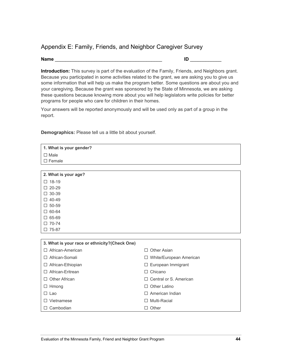### Appendix E: Family, Friends, and Neighbor Caregiver Survey

### **Name** \_\_\_\_\_\_\_\_\_\_\_\_\_\_\_\_\_\_\_\_\_\_\_\_\_\_\_\_\_\_\_\_\_\_\_\_\_\_\_\_\_ **ID** \_\_\_\_\_\_\_\_\_\_\_\_

**Introduction:** This survey is part of the evaluation of the Family, Friends, and Neighbors grant. Because you participated in some activities related to the grant, we are asking you to give us some information that will help us make the program better. Some questions are about you and your caregiving. Because the grant was sponsored by the State of Minnesota, we are asking these questions because knowing more about you will help legislators write policies for better programs for people who care for children in their homes.

Your answers will be reported anonymously and will be used only as part of a group in the report.

**Demographics:** Please tell us a little bit about yourself.

| 1. What is your gender?                       |                               |  |
|-----------------------------------------------|-------------------------------|--|
| $\Box$ Male                                   |                               |  |
| $\square$ Female                              |                               |  |
|                                               |                               |  |
| 2. What is your age?                          |                               |  |
| $\Box$ 18-19                                  |                               |  |
| 20-29<br>П                                    |                               |  |
| 30-39<br>П                                    |                               |  |
| $\Box$ 40-49                                  |                               |  |
| $\square$ 50-59                               |                               |  |
| 60-64<br>0                                    |                               |  |
| $\square$ 65-69                               |                               |  |
| $\square$ 70-74                               |                               |  |
| $\Box$ 75-87                                  |                               |  |
|                                               |                               |  |
| 3. What is your race or ethnicity?(Check One) |                               |  |
| African-American<br>$\Box$                    | Other Asian<br>П              |  |
| African-Somali<br>$\perp$                     | □ White/European American     |  |
| African-Ethiopian<br>ப                        | □ European Immigrant          |  |
| African-Eritrean<br>$\Box$                    | Chicano<br>П.                 |  |
| <b>Other African</b><br>П                     | $\Box$ Central or S. American |  |
| $\Box$ Hmong                                  | <b>Other Latino</b><br>П      |  |
| $\Box$ Lao                                    | $\Box$ American Indian        |  |
| $\Box$ Vietnamese                             | Multi-Racial<br>П             |  |
| Cambodian<br>$\Box$                           | $\Box$ Other                  |  |
|                                               |                               |  |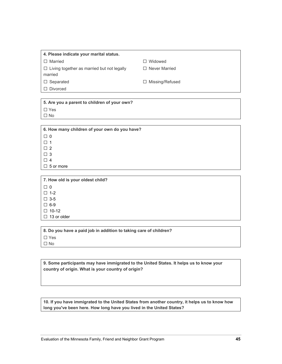| 4. Please indicate your marital status.                      |                        |  |  |
|--------------------------------------------------------------|------------------------|--|--|
| $\Box$ Married                                               | $\Box$ Widowed         |  |  |
| $\Box$ Living together as married but not legally<br>married | $\Box$ Never Married   |  |  |
| $\Box$ Separated                                             | $\Box$ Missing/Refused |  |  |
| $\Box$ Divorced                                              |                        |  |  |

| 5. Are you a parent to children of your own? |
|----------------------------------------------|
| $\Box$ Yes                                   |
| $\Box$ No                                    |
|                                              |

| 6. How many children of your own do you have? |
|-----------------------------------------------|
| $\Box$ 0                                      |
| $\Box$ 1                                      |
| $\Box$ 2                                      |
| $\Box$ 3                                      |
| Π4                                            |
| $\Box$ 5 or more                              |

**7. How old is your oldest child? □** <sup>0</sup> **□** 1-2 **□** 3-5 **□** 6-9 **□** 10-12 **□** 13 or older

**8. Do you have a paid job in addition to taking care of children? □** Yes

**□** No

**9. Some participants may have immigrated to the United States. It helps us to know your country of origin. What is your country of origin?**

**10. If you have immigrated to the United States from another country, it helps us to know how long you've been here. How long have you lived in the United States?**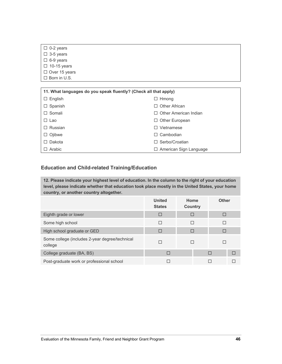| $\Box$ 0-2 years                                                 |                              |
|------------------------------------------------------------------|------------------------------|
| $\Box$ 3-5 years                                                 |                              |
| $\Box$ 6-9 years                                                 |                              |
| $\Box$ 10-15 years                                               |                              |
| $\Box$ Over 15 years                                             |                              |
| $\Box$ Born in U.S.                                              |                              |
|                                                                  |                              |
| 11. What languages do you speak fluently? (Check all that apply) |                              |
| English<br>$\Box$                                                | $\Box$ Hmong                 |
| Spanish<br>ப                                                     | <b>Other African</b><br>П    |
| Somali<br>П                                                      | $\Box$ Other American Indian |
| $ -$                                                             | ----                         |

| $\Box$ Lao     | $\Box$ Other European         |
|----------------|-------------------------------|
| $\Box$ Russian | $\Box$ Vietnamese             |
| $\Box$ Ojibwe  | $\Box$ Cambodian              |
| $\Box$ Dakota  | $\Box$ Serbo/Croatian         |
| $\Box$ Arabic  | $\Box$ American Sign Language |

### **Education and Child-related Training/Education**

**12. Please indicate your highest level of education. In the column to the right of your education level, please indicate whether that education took place mostly in the United States, your home country, or another country altogether.** 

|                                                           | <b>United</b><br><b>States</b> | Home<br><b>Country</b> | <b>Other</b> |   |
|-----------------------------------------------------------|--------------------------------|------------------------|--------------|---|
| Eighth grade or lower                                     | $\Box$                         | □                      |              |   |
| Some high school                                          | П                              | П                      |              |   |
| High school graduate or GED                               | $\Box$                         | П                      |              |   |
| Some college (includes 2-year degree/technical<br>college | П                              |                        |              |   |
| College graduate (BA, BS)                                 | П                              |                        | П            | П |
| Post-graduate work or professional school                 |                                |                        |              |   |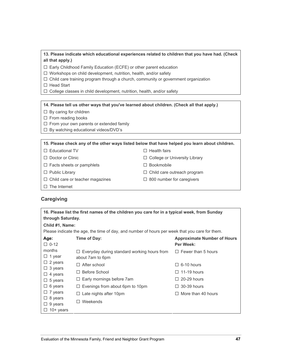#### **13. Please indicate which educational experiences related to children that you have had. (Check all that apply.)**

- **□** Early Childhood Family Education (ECFE) or other parent education
- **□** Workshops on child development, nutrition, health, and/or safety
- **□** Child care training program through a church, community or government organization
- **□** Head Start
- **□** College classes in child development, nutrition, health, and/or safety

#### **14. Please tell us other ways that you've learned about children. (Check all that apply.)**

- **□** By caring for children
- **□** From reading books
- **□** From your own parents or extended family
- **□** By watching educational videos/DVD's

**15. Please check any of the other ways listed below that have helped you learn about children.** 

- **□** Educational TV **□** Health fairs
- **□** Doctor or Clinic **□** College or University Library
- **□** Facts sheets or pamphlets **□** Bookmobile
- **□** Public Library **□** Child care outreach program
- **□** Child care or teacher magazines **□** 800 number for caregivers
- **□** The Internet
- **Caregiving**

| 16. Please list the first names of the children you care for in a typical week, from Sunday<br>through Saturday. |                                                                        |                                                 |  |
|------------------------------------------------------------------------------------------------------------------|------------------------------------------------------------------------|-------------------------------------------------|--|
| Child #1, Name:                                                                                                  |                                                                        |                                                 |  |
| Please indicate the age, the time of day, and number of hours per week that you care for them.                   |                                                                        |                                                 |  |
| Age:<br>$\Box$ 0-12                                                                                              | Time of Day:                                                           | <b>Approximate Number of Hours</b><br>Per Week: |  |
| months<br>$\Box$ 1 year                                                                                          | $\Box$ Everyday during standard working hours from<br>about 7am to 6pm | $\Box$ Fewer than 5 hours                       |  |
| $\Box$ 2 years                                                                                                   | After school<br>$\Box$                                                 | $\Box$ 6-10 hours                               |  |
| $\Box$ 3 years<br>$\Box$ 4 years                                                                                 | Before School                                                          | $\Box$ 11-19 hours                              |  |
| $\Box$ 5 years                                                                                                   | Early mornings before 7am                                              | $\Box$ 20-29 hours                              |  |
| $\Box$ 6 years                                                                                                   | Evenings from about 6pm to 10pm<br>ப                                   | $\Box$ 30-39 hours                              |  |
| $\Box$ 7 years                                                                                                   | Late nights after 10pm                                                 | $\Box$ More than 40 hours                       |  |
| $\Box$ 8 years<br>$\Box$ 9 years<br>$10+$ years                                                                  | Weekends                                                               |                                                 |  |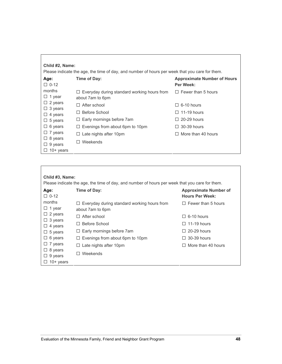| Child #2, Name:<br>Please indicate the age, the time of day, and number of hours per week that you care for them. |                                                                          |                                                        |  |
|-------------------------------------------------------------------------------------------------------------------|--------------------------------------------------------------------------|--------------------------------------------------------|--|
| Age:<br>$\Box$ 0-12                                                                                               | Time of Day:                                                             | <b>Approximate Number of Hours</b><br><b>Per Week:</b> |  |
| months<br>$\Box$ 1 year                                                                                           | $\Box$ Everyday during standard working hours from<br>about 7 am to 6 pm | $\Box$ Fewer than 5 hours                              |  |
| $\Box$ 2 years                                                                                                    | After school<br>$\Box$                                                   | 6-10 hours<br>П                                        |  |
| $\Box$ 3 years<br>$\Box$ 4 years                                                                                  | Before School<br>$\perp$                                                 | $\Box$ 11-19 hours                                     |  |
| $\Box$ 5 years                                                                                                    | $\Box$ Early mornings before 7am                                         | 20-29 hours<br>П                                       |  |
| $\Box$ 6 years                                                                                                    | Evenings from about 6pm to 10pm<br>$\Box$                                | 30-39 hours<br>$\Box$                                  |  |
| $\Box$ 7 years                                                                                                    | Late nights after 10pm<br>$\Box$                                         | More than 40 hours                                     |  |
| $\Box$ 8 years<br>$\Box$ 9 years<br>$10+$ years                                                                   | Weekends<br>$\perp$                                                      |                                                        |  |
|                                                                                                                   |                                                                          |                                                        |  |

#### **Child #3, Name:**  Please indicate the age, the time of day, and number of hours per week that you care for them. **Time of Day:** Approximate Number of **Hours Per Week: □** Everyday during standard working hours from about 7am to 6pm **□** Fewer than 5 hours **□** After school **□** 6-10 hours **□** Before School **□** 11-19 hours **□** Early mornings before 7am **□** 20-29 hours **□** Evenings from about 6pm to 10pm **□** 30-39 hours **□** Late nights after 10pm **□** More than 40 hours **Age: □** 0-12 months **□** 1 year **□** 2 years **□** 3 years **□** 4 years **□** 5 years **□** 6 years **□** 7 years **□** 8 years **□** 9 years **□** 10+ years **□** Weekends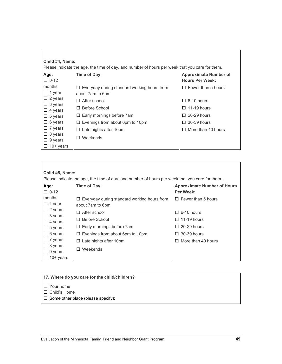| Child #4, Name:                          | Please indicate the age, the time of day, and number of hours per week that you care for them. |                                                        |
|------------------------------------------|------------------------------------------------------------------------------------------------|--------------------------------------------------------|
| Age:<br>$\Box$ 0-12                      | Time of Day:                                                                                   | <b>Approximate Number of</b><br><b>Hours Per Week:</b> |
| months<br>$\Box$ 1 year                  | Everyday during standard working hours from<br>⊔<br>about 7 am to 6 pm                         | $\Box$ Fewer than 5 hours                              |
| $\Box$ 2 years                           | $\Box$ After school                                                                            | $\Box$ 6-10 hours                                      |
| 3 years<br>ப<br>$\Box$ 4 years           | Before School                                                                                  | $\Box$ 11-19 hours                                     |
| $\Box$ 5 years                           | Early mornings before 7am<br>⊔                                                                 | $\Box$ 20-29 hours                                     |
| $\Box$ 6 years                           | Evenings from about 6pm to 10pm<br>$\Box$                                                      | 30-39 hours<br>$\perp$                                 |
| $\Box$ 7 years                           | Late nights after 10pm<br>ப                                                                    | $\Box$ More than 40 hours                              |
| $\Box$ 8 years<br>9 years<br>$10+$ years | Weekends<br>H                                                                                  |                                                        |

### **Child #5, Name:**

Please indicate the age, the time of day, and number of hours per week that you care for them.

| Age:<br>$\Box$ 0-12              | Time of Day:                                       | <b>Approximate Number of Hours</b><br>Per Week: |
|----------------------------------|----------------------------------------------------|-------------------------------------------------|
| months<br>$\Box$ 1 year          | $\Box$ Everyday during standard working hours from | $\Box$ Fewer than 5 hours                       |
|                                  | about 7 am to 6 pm                                 |                                                 |
| $\Box$ 2 years<br>$\Box$ 3 years | $\Box$ After school                                | $\Box$ 6-10 hours                               |
| $\Box$ 4 years                   | Before School<br>$\mathsf{L}$                      | $\Box$ 11-19 hours                              |
| $\Box$ 5 years                   | $\Box$ Early mornings before 7am                   | $\Box$ 20-29 hours                              |
| $\Box$ 6 years                   | $\Box$ Evenings from about 6pm to 10pm             | $\Box$ 30-39 hours                              |
| $\Box$ 7 years                   | $\Box$ Late nights after 10pm                      | $\Box$ More than 40 hours                       |
| $\Box$ 8 years                   |                                                    |                                                 |
| $\Box$ 9 years                   | Weekends<br>$\perp$                                |                                                 |
| $\Box$ 10+ years                 |                                                    |                                                 |

| 17. Where do you care for the child/children? |
|-----------------------------------------------|
| $\Box$ Your home                              |
| $\Box$ Child's Home                           |
| $ \Box$ Some other place (please specify):    |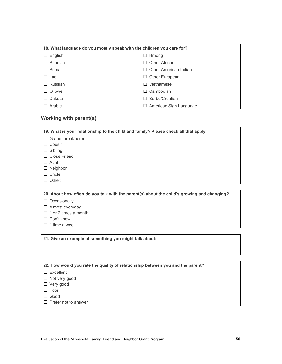| 18. What language do you mostly speak with the children you care for? |                               |  |  |  |
|-----------------------------------------------------------------------|-------------------------------|--|--|--|
| $\Box$ English                                                        | $\Box$ Hmong                  |  |  |  |
| $\Box$ Spanish                                                        | $\Box$ Other African          |  |  |  |
| $\Box$ Somali                                                         | $\Box$ Other American Indian  |  |  |  |
| □ Lao                                                                 | $\Box$ Other European         |  |  |  |
| Russian                                                               | Vietnamese<br>$\mathsf{L}$    |  |  |  |
| $\Box$ Ojibwe                                                         | Cambodian<br>П                |  |  |  |
| Dakota                                                                | $\Box$ Serbo/Croatian         |  |  |  |
| Arabic                                                                | $\Box$ American Sign Language |  |  |  |

### **Working with parent(s)**

| 19. What is your relationship to the child and family? Please check all that apply |
|------------------------------------------------------------------------------------|
| Grandparent/parent<br>$\Box$                                                       |
| Cousin                                                                             |
| Sibling                                                                            |
| $\Box$ Close Friend                                                                |
| $\Box$ Aunt                                                                        |
| Neighbor<br>□                                                                      |
| $\Box$ Uncle                                                                       |
| Other:                                                                             |
|                                                                                    |
|                                                                                    |

**20. About how often do you talk with the parent(s) about the child's growing and changing?** 

- **□** Occasionally
- **□** Almost everyday
- **□** 1 or 2 times a month
- **□** Don't know
- **□** 1 time a week

**21. Give an example of something you might talk about:** 

**22. How would you rate the quality of relationship between you and the parent?** 

- **□** Excellent
- **□** Not very good
- **□** Very good
- **□** Poor
- **□** Good
- **□** Prefer not to answer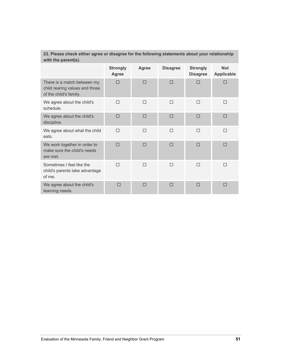### **23. Please check either agree or disagree for the following statements about your relationship with the parent(s).**

|                                                                                         | <b>Strongly</b><br>Agree | Agree | <b>Disagree</b> | <b>Strongly</b><br><b>Disagree</b> | <b>Not</b><br><b>Applicable</b> |
|-----------------------------------------------------------------------------------------|--------------------------|-------|-----------------|------------------------------------|---------------------------------|
| There is a match between my<br>child rearing values and those<br>of the child's family. | П                        | П     | П               | П                                  | П                               |
| We agree about the child's<br>schedule.                                                 | П                        | П     | П               | П                                  | П                               |
| We agree about the child's<br>discipline.                                               | П                        | П     | П               | П                                  | П                               |
| We agree about what the child<br>eats.                                                  | П                        | П     | П               | П                                  | П                               |
| We work together in order to<br>make sure the child's needs<br>are met.                 | П                        | П     | П               | П                                  | П                               |
| Sometimes I feel like the<br>child's parents take advantage<br>of me.                   | П                        | П     | П               | П                                  | П                               |
| We agree about the child's<br>learning needs.                                           | П                        |       | П               | П                                  |                                 |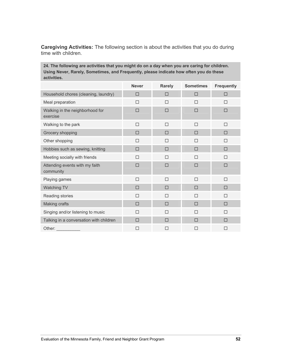**Caregiving Activities:** The following section is about the activities that you do during time with children.

**24. The following are activities that you might do on a day when you are caring for children. Using Never, Rarely, Sometimes, and Frequently, please indicate how often you do these activities.** 

|                                             | <b>Never</b> | <b>Rarely</b> | <b>Sometimes</b> | <b>Frequently</b> |
|---------------------------------------------|--------------|---------------|------------------|-------------------|
| Household chores (cleaning, laundry)        | □            | □             | □                | □                 |
| Meal preparation                            | $\Box$       | $\Box$        | $\Box$           | П                 |
| Walking in the neighborhood for<br>exercise | П            | П             | П                | П                 |
| Walking to the park                         | П            | П             | П                | П                 |
| Grocery shopping                            | П            | П             | П                | П                 |
| Other shopping                              | $\Box$       | □             | □                | □                 |
| Hobbies such as sewing, knitting            | □            | П             | П                | П                 |
| Meeting socially with friends               | $\Box$       | $\Box$        | $\Box$           | П                 |
| Attending events with my faith<br>community | $\Box$       | □             | $\Box$           | П                 |
| Playing games                               | $\Box$       | $\Box$        | П                | П                 |
| Watching TV                                 | $\Box$       | □             | П                | П                 |
| Reading stories                             | $\Box$       | $\Box$        | П                | П                 |
| Making crafts                               | $\Box$       | $\Box$        | $\Box$           | $\Box$            |
| Singing and/or listening to music           | $\Box$       | $\Box$        | $\Box$           | $\Box$            |
| Talking in a conversation with children     | П            | П             | П                | П                 |
| Other:                                      | $\Box$       | □             | □                | $\Box$            |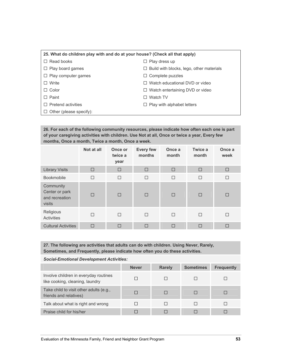#### **25. What do children play with and do at your house? (Check all that apply)**

- **□** Read books **□** Play dress up
- 
- **□** Play computer games **□** Complete puzzles
- 
- 
- 
- 
- 
- **□** Play board games **□** Build with blocks, lego, other materials
	-
- **□** Write **□** Watch educational DVD or video
- **□** Color **□** Watch entertaining DVD or video
- **□** Paint **□** Watch TV
- **□** Pretend activities **□** Play with alphabet letters
- **□** Other (please specify):

**26. For each of the following community resources, please indicate how often each one is part of your caregiving activities with children. Use Not at all, Once or twice a year, Every few months, Once a month, Twice a month, Once a week.** 

|                                                         | Not at all | Once or<br>twice a<br>year | <b>Every few</b><br>months | Once a<br>month | Twice a<br>month | Once a<br>week |
|---------------------------------------------------------|------------|----------------------------|----------------------------|-----------------|------------------|----------------|
| <b>Library Visits</b>                                   | $\Box$     | $\Box$                     | $\Box$                     | $\Box$          | $\Box$           | □              |
| <b>Bookmobile</b>                                       | П          | $\Box$                     | $\Box$                     | $\Box$          | $\Box$           | $\Box$         |
| Community<br>Center or park<br>and recreation<br>visits | П          | $\Box$                     | $\Box$                     | $\Box$          | $\Box$           | ш              |
| Religious<br>Activities                                 | П          | П                          | П                          | П               | П                | П              |
| <b>Cultural Activities</b>                              | □          | $\Box$                     | $\Box$                     | $\Box$          | $\Box$           | □              |

**27. The following are activities that adults can do with children. Using Never, Rarely, Sometimes, and Frequently, please indicate how often you do these activities.** 

| Social-Enfotional Development Activities.                                |              |               |                  |                   |  |
|--------------------------------------------------------------------------|--------------|---------------|------------------|-------------------|--|
|                                                                          | <b>Never</b> | <b>Rarely</b> | <b>Sometimes</b> | <b>Frequently</b> |  |
| Involve children in everyday routines<br>like cooking, cleaning, laundry |              |               |                  |                   |  |
| Take child to visit other adults (e.g.,<br>friends and relatives)        |              |               | $\Box$           |                   |  |
| Talk about what is right and wrong                                       |              |               | $\Box$           | П                 |  |
| Praise child for his/her                                                 |              |               |                  |                   |  |

*Social-Emotional Development Activities:*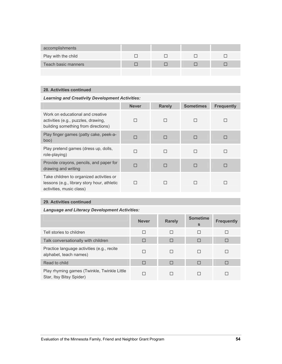| accomplishments     |  |  |
|---------------------|--|--|
| Play with the child |  |  |
| Teach basic manners |  |  |
|                     |  |  |

### **28. Activities continued**

*Learning and Creativity Development Activities:* 

|                                                                                                                     | <b>Never</b> | <b>Rarely</b> | <b>Sometimes</b> | <b>Frequently</b> |
|---------------------------------------------------------------------------------------------------------------------|--------------|---------------|------------------|-------------------|
| Work on educational and creative<br>activities (e.g., puzzles, drawing,<br>building something from directions)      |              | П             |                  |                   |
| Play finger games (patty cake, peek-a-<br>boo)                                                                      | П            | П             | П                |                   |
| Play pretend games (dress up, dolls,<br>role-playing)                                                               |              | П             |                  |                   |
| Provide crayons, pencils, and paper for<br>drawing and writing                                                      |              | П             |                  |                   |
| Take children to organized activities or<br>lessons (e.g., library story hour, athletic<br>activities, music class) |              | П             |                  |                   |

### **29. Activities continued**

### *Language and Literacy Development Activities:*

|                                                                         | <b>Never</b> | <b>Rarely</b> | <b>Sometime</b><br>S | <b>Frequently</b> |
|-------------------------------------------------------------------------|--------------|---------------|----------------------|-------------------|
| Tell stories to children                                                | П            | П             |                      |                   |
| Talk conversationally with children                                     | □            | $\Box$        | П                    | П                 |
| Practice language activities (e.g., recite<br>alphabet, teach names)    | П            | ш             |                      |                   |
| Read to child                                                           | $\Box$       | П             | П                    |                   |
| Play rhyming games (Twinkle, Twinkle Little<br>Star, Itsy Bitsy Spider) | П            |               |                      |                   |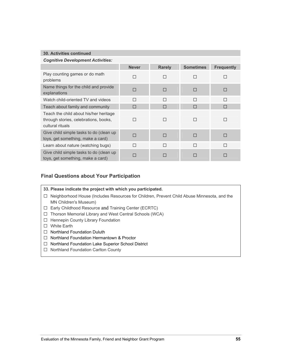#### **30. Activities continued**

| <b>Cognitive Development Activities:</b>                                                            |              |               |                  |                   |  |
|-----------------------------------------------------------------------------------------------------|--------------|---------------|------------------|-------------------|--|
|                                                                                                     | <b>Never</b> | <b>Rarely</b> | <b>Sometimes</b> | <b>Frequently</b> |  |
| Play counting games or do math<br>problems                                                          |              | П             | П                |                   |  |
| Name things for the child and provide<br>explanations                                               |              | П             | П                |                   |  |
| Watch child-oriented TV and videos                                                                  | $\Box$       | П             | П                | П                 |  |
| Teach about family and community                                                                    |              | П             | П                |                   |  |
| Teach the child about his/her heritage<br>through stories, celebrations, books,<br>cultural rituals |              | П             | П                |                   |  |
| Give child simple tasks to do (clean up<br>toys, get something, make a card)                        |              | П             | П                |                   |  |
| Learn about nature (watching bugs)                                                                  |              | П             | П                | П                 |  |
| Give child simple tasks to do (clean up<br>toys, get something, make a card)                        |              | П             | П                |                   |  |

### **Final Questions about Your Participation**

- **33. Please indicate the project with which you participated.**
- **□** Neighborhood House (Includes Resources for Children, Prevent Child Abuse Minnesota, and the MN Children's Museum)
- **□** Early Childhood Resource and Training Center (ECRTC)
- **□** Thorson Memorial Library and West Central Schools (WCA)
- **□** Hennepin County Library Foundation
- **□** White Earth
- **□** Northland Foundation Duluth
- **□** Northland Foundation Hermantown & Proctor
- **□** Northland Foundation Lake Superior School District
- **□** Northland Foundation Carlton County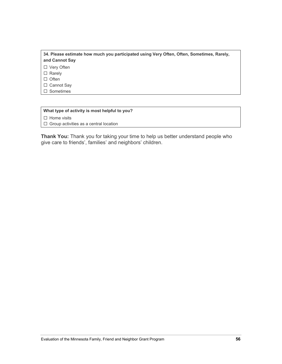#### **34. Please estimate how much you participated using Very Often, Often, Sometimes, Rarely, and Cannot Say**

**□** Very Often

**□** Rarely

**□** Often

**□** Cannot Say

**□** Sometimes

#### **What type of activity is most helpful to you?**

**□** Home visits

**□** Group activities as a central location

**Thank You:** Thank you for taking your time to help us better understand people who give care to friends', families' and neighbors' children.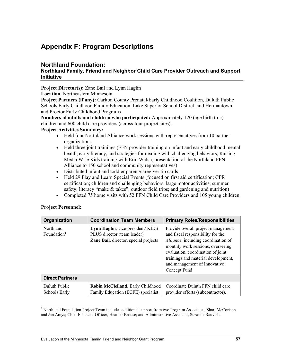# **Appendix F: Program Descriptions**

### **Northland Foundation:**

### **Northland Family, Friend and Neighbor Child Care Provider Outreach and Support Initiative**

**Project Director(s):** Zane Bail and Lynn Haglin

**Location**: Northeastern Minnesota

**Project Partners (if any):** Carlton County Prenatal/Early Childhood Coalition, Duluth Public Schools Early Childhood Family Education, Lake Superior School District, and Hermantown and Proctor Early Childhood Programs

**Numbers of adults and children who participated:** Approximately 120 (age birth to 5) children and 600 child care providers (across four project sites).

### **Project Activities Summary:**

- Held four Northland Alliance work sessions with representatives from 10 partner organizations
- Held three joint trainings (FFN provider training on infant and early childhood mental health, early literacy, and strategies for dealing with challenging behaviors, Raising Media Wise Kids training with Erin Walsh, presentation of the Northland FFN Alliance to 150 school and community representatives)
- Distributed infant and toddler parent/caregiver tip cards
- Held 29 Play and Learn Special Events (focused on first aid certification; CPR certification; children and challenging behaviors; large motor activities; summer safety; literacy "make & takes"; outdoor field trips; and gardening and nutrition)
- Completed 75 home visits with 52 FFN Child Care Providers and 105 young children.

| <b>Project Personnel:</b>            |                                                                                                          |                                                                                                                                                                                                                                                                                 |
|--------------------------------------|----------------------------------------------------------------------------------------------------------|---------------------------------------------------------------------------------------------------------------------------------------------------------------------------------------------------------------------------------------------------------------------------------|
| Organization                         | <b>Coordination Team Members</b>                                                                         | <b>Primary Roles/Responsibilities</b>                                                                                                                                                                                                                                           |
| Northland<br>Foundation <sup>1</sup> | Lynn Haglin, vice-president/KIDS<br>PLUS director (team leader)<br>Zane Bail, director, special projects | Provide overall project management<br>and fiscal responsibility for the<br>Alliance, including coordination of<br>monthly work sessions, overseeing<br>evaluation, coordination of joint<br>trainings and material development,<br>and management of Innovative<br>Concept Fund |
| <b>Direct Partners</b>               |                                                                                                          |                                                                                                                                                                                                                                                                                 |
| Duluth Public<br>Schools Early       | Robin McClelland, Early Childhood<br>Family Education (ECFE) specialist                                  | Coordinate Duluth FFN child care<br>provider efforts (subcontractor).                                                                                                                                                                                                           |

### **Project Personnel:**

l

<sup>&</sup>lt;sup>1</sup> Northland Foundation Project Team includes additional support from two Program Associates, Shari McCorison and Jan Amys; Chief Financial Officer, Heather Brouse; and Administrative Assistant, Suzanne Rauvola.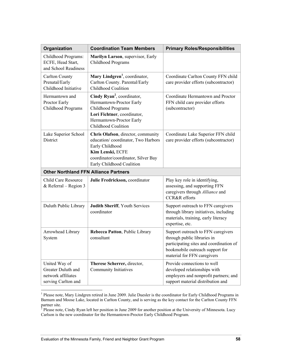| Organization                                                                     | <b>Coordination Team Members</b>                                                                                                                                                    | <b>Primary Roles/Responsibilities</b>                                                                                                                                          |
|----------------------------------------------------------------------------------|-------------------------------------------------------------------------------------------------------------------------------------------------------------------------------------|--------------------------------------------------------------------------------------------------------------------------------------------------------------------------------|
| Childhood Programs:<br>ECFE, Head Start,<br>and School Readiness                 | Marilyn Larson, supervisor, Early<br>Childhood Programs                                                                                                                             |                                                                                                                                                                                |
| <b>Carlton County</b><br>Prenatal/Early<br>Childhood Initiative                  | Mary Lindgren <sup>1</sup> , coordinator,<br>Carlton County. Parental/Early<br>Childhood Coalition                                                                                  | Coordinate Carlton County FFN child<br>care provider efforts (subcontractor)                                                                                                   |
| Hermantown and<br>Proctor Early<br>Childhood Programs                            | Cindy Ryan <sup>2</sup> , coordinator,<br>Hermantown-Proctor Early<br>Childhood Programs<br>Lori Fichtner, coordinator,<br>Hermantown-Proctor Early<br>Childhood Coalition          | Coordinate Hermantown and Proctor<br>FFN child care provider efforts<br>(subcontractor)                                                                                        |
| Lake Superior School<br>District                                                 | Chris Olafson, director, community<br>education/coordinator, Two Harbors<br>Early Childhood<br>Kim Lenski, ECFE<br>coordinator/coordinator, Silver Bay<br>Early Childhood Coalition | Coordinate Lake Superior FFN child<br>care provider efforts (subcontractor)                                                                                                    |
| <b>Other Northland FFN Alliance Partners</b>                                     |                                                                                                                                                                                     |                                                                                                                                                                                |
| <b>Child Care Resource</b><br>& Referral – Region $3$                            | Julie Fredrickson, coordinator                                                                                                                                                      | Play key role in identifying,<br>assessing, and supporting FFN<br>caregivers through Alliance and<br><b>CCR&amp;R</b> efforts                                                  |
| Duluth Public Library                                                            | Judith Sheriff, Youth Services<br>coordinator                                                                                                                                       | Support outreach to FFN caregivers<br>through library initiatives, including<br>materials, training, early literacy<br>expertise, etc.                                         |
| Arrowhead Library<br>System                                                      | Rebecca Patton, Public Library<br>consultant                                                                                                                                        | Support outreach to FFN caregivers<br>through public libraries in<br>participating sites and coordination of<br>bookmobile outreach support for<br>material for FFN caregivers |
| United Way of<br>Greater Duluth and<br>network affiliates<br>serving Carlton and | Therese Scherrer, director,<br><b>Community Initiatives</b>                                                                                                                         | Provide connections to well<br>developed relationships with<br>employers and nonprofit partners; and<br>support material distribution and                                      |

<sup>&</sup>lt;sup>1</sup> Please note, Mary Lindgren retired in June 2009. Julie Duesler is the coordinator for Early Childhood Programs in Barnum and Moose Lake, located in Carlton County, and is serving as the key contact for the Carlton County FFN partner site.<br><sup>2</sup> Please note, Cindy Ryan left her position in June 2009 for another position at the University of Minnesota. Lucy

Carlson is the new coordinator for the Hermantown-Proctor Early Childhood Program.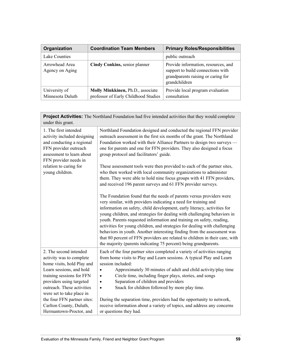| Organization                      | <b>Coordination Team Members</b>                                          | <b>Primary Roles/Responsibilities</b>                                                                                           |
|-----------------------------------|---------------------------------------------------------------------------|---------------------------------------------------------------------------------------------------------------------------------|
| Lake Counties                     |                                                                           | public outreach                                                                                                                 |
| Arrowhead Area<br>Agency on Aging | Cindy Conkins, senior planner                                             | Provide information, resources, and<br>support to build connections with<br>grandparents raising or caring for<br>grandchildren |
| University of<br>Minnesota Duluth | Molly Minkkinen, Ph.D., associate<br>professor of Early Childhood Studies | Provide local program evaluation<br>consultation                                                                                |

| Project Activities: The Northland Foundation had five intended activities that they would complete<br>under this grant.                                                                                                          |                                                                                                                                                                                                                                                                                                                                                                                                                                                                                                                                                                                                                                                                                       |  |
|----------------------------------------------------------------------------------------------------------------------------------------------------------------------------------------------------------------------------------|---------------------------------------------------------------------------------------------------------------------------------------------------------------------------------------------------------------------------------------------------------------------------------------------------------------------------------------------------------------------------------------------------------------------------------------------------------------------------------------------------------------------------------------------------------------------------------------------------------------------------------------------------------------------------------------|--|
| 1. The first intended<br>activity included designing<br>and conducting a regional<br>FFN provider outreach<br>assessment to learn about<br>FFN provider needs in                                                                 | Northland Foundation designed and conducted the regional FFN provider<br>outreach assessment in the first six months of the grant. The Northland<br>Foundation worked with their Alliance Partners to design two surveys -<br>one for parents and one for FFN providers. They also designed a focus<br>group protocol and facilitators' guide.                                                                                                                                                                                                                                                                                                                                        |  |
| relation to caring for<br>young children.                                                                                                                                                                                        | These assessment tools were then provided to each of the partner sites,<br>who then worked with local community organizations to administer<br>them. They were able to hold nine focus groups with 41 FFN providers,<br>and received 196 parent surveys and 61 FFN provider surveys.                                                                                                                                                                                                                                                                                                                                                                                                  |  |
|                                                                                                                                                                                                                                  | The Foundation found that the needs of parents versus providers were<br>very similar, with providers indicating a need for training and<br>information on safety, child development, early literacy, activities for<br>young children, and strategies for dealing with challenging behaviors in<br>youth. Parents requested information and training on safety, reading,<br>activities for young children, and strategies for dealing with challenging<br>behaviors in youth. Another interesting finding from the assessment was<br>that 80 percent of FFN providers are related to children in their care, with<br>the majority (parents indicating 75 percent) being grandparents. |  |
| 2. The second intended<br>activity was to complete<br>home visits, hold Play and<br>Learn sessions, and hold<br>training sessions for FFN<br>providers using targeted<br>outreach. These activities<br>were set to take place in | Each of the four partner sites completed a variety of activities ranging<br>from home visits to Play and Learn sessions. A typical Play and Learn<br>session included:<br>Approximately 30 minutes of adult and child activity/play time<br>$\bullet$<br>Circle time, including finger plays, stories, and songs<br>٠<br>Separation of children and providers<br>$\bullet$<br>Snack for children followed by more play time.<br>$\bullet$                                                                                                                                                                                                                                             |  |
| the four FFN partner sites:<br>Carlton County, Duluth,<br>Hermantown-Proctor, and                                                                                                                                                | During the separation time, providers had the opportunity to network,<br>receive information about a variety of topics, and address any concerns<br>or questions they had.                                                                                                                                                                                                                                                                                                                                                                                                                                                                                                            |  |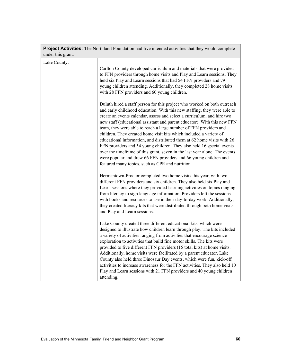| under this grant. |                                                                                                                                                                                                                                                                                                                                                                                                                                                                                                                                                                                                                                                                                                                                                                                                                  |
|-------------------|------------------------------------------------------------------------------------------------------------------------------------------------------------------------------------------------------------------------------------------------------------------------------------------------------------------------------------------------------------------------------------------------------------------------------------------------------------------------------------------------------------------------------------------------------------------------------------------------------------------------------------------------------------------------------------------------------------------------------------------------------------------------------------------------------------------|
| Lake County.      | Carlton County developed curriculum and materials that were provided<br>to FFN providers through home visits and Play and Learn sessions. They<br>held six Play and Learn sessions that had 54 FFN providers and 79<br>young children attending. Additionally, they completed 28 home visits<br>with 28 FFN providers and 60 young children.                                                                                                                                                                                                                                                                                                                                                                                                                                                                     |
|                   | Duluth hired a staff person for this project who worked on both outreach<br>and early childhood education. With this new staffing, they were able to<br>create an events calendar, assess and select a curriculum, and hire two<br>new staff (educational assistant and parent educator). With this new FFN<br>team, they were able to reach a large number of FFN providers and<br>children. They created home visit kits which included a variety of<br>educational information, and distributed them at 62 home visits with 26<br>FFN providers and 54 young children. They also held 16 special events<br>over the timeframe of this grant, seven in the last year alone. The events<br>were popular and drew 66 FFN providers and 66 young children and<br>featured many topics, such as CPR and nutrition. |
|                   | Hermantown-Proctor completed two home visits this year, with two<br>different FFN providers and six children. They also held six Play and<br>Learn sessions where they provided learning activities on topics ranging<br>from literacy to sign language information. Providers left the sessions<br>with books and resources to use in their day-to-day work. Additionally,<br>they created literacy kits that were distributed through both home visits<br>and Play and Learn sessions.                                                                                                                                                                                                                                                                                                                         |
|                   | Lake County created three different educational kits, which were<br>designed to illustrate how children learn through play. The kits included<br>a variety of activities ranging from activities that encourage science<br>exploration to activities that build fine motor skills. The kits were<br>provided to five different FFN providers (15 total kits) at home visits.<br>Additionally, home visits were facilitated by a parent educator. Lake<br>County also held three Dinosaur Day events, which were fun, kick-off<br>activities to increase awareness for the FFN activities. They also held 10<br>Play and Learn sessions with 21 FFN providers and 40 young children<br>attending.                                                                                                                 |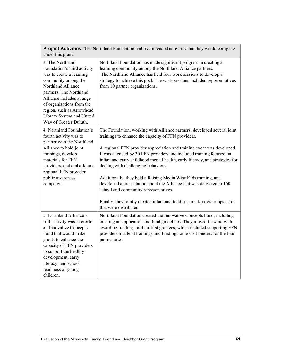|                   | <b>Project Activities:</b> The Northland Foundation had five intended activities that they would complete |  |
|-------------------|-----------------------------------------------------------------------------------------------------------|--|
| under this grant. |                                                                                                           |  |

| 3. The Northland<br>Foundation's third activity<br>was to create a learning<br>community among the<br>Northland Alliance<br>partners. The Northland<br>Alliance includes a range<br>of organizations from the<br>region, such as Arrowhead<br>Library System and United<br>Way of Greater Duluth. | Northland Foundation has made significant progress in creating a<br>learning community among the Northland Alliance partners.<br>The Northland Alliance has held four work sessions to develop a<br>strategy to achieve this goal. The work sessions included representatives<br>from 10 partner organizations.         |
|---------------------------------------------------------------------------------------------------------------------------------------------------------------------------------------------------------------------------------------------------------------------------------------------------|-------------------------------------------------------------------------------------------------------------------------------------------------------------------------------------------------------------------------------------------------------------------------------------------------------------------------|
| 4. Northland Foundation's<br>fourth activity was to<br>partner with the Northland                                                                                                                                                                                                                 | The Foundation, working with Alliance partners, developed several joint<br>trainings to enhance the capacity of FFN providers.                                                                                                                                                                                          |
| Alliance to hold joint<br>trainings, develop<br>materials for FFN<br>providers, and embark on a<br>regional FFN provider                                                                                                                                                                          | A regional FFN provider appreciation and training event was developed.<br>It was attended by 30 FFN providers and included training focused on<br>infant and early childhood mental health, early literacy, and strategies for<br>dealing with challenging behaviors.                                                   |
| public awareness<br>campaign.                                                                                                                                                                                                                                                                     | Additionally, they held a Raising Media Wise Kids training, and<br>developed a presentation about the Alliance that was delivered to 150<br>school and community representatives.                                                                                                                                       |
|                                                                                                                                                                                                                                                                                                   | Finally, they jointly created infant and toddler parent/provider tips cards<br>that were distributed.                                                                                                                                                                                                                   |
| 5. Northland Alliance's<br>fifth activity was to create<br>an Innovative Concepts<br>Fund that would make<br>grants to enhance the<br>capacity of FFN providers<br>to support the healthy<br>development, early<br>literacy, and school                                                           | Northland Foundation created the Innovative Concepts Fund, including<br>creating an application and fund guidelines. They moved forward with<br>awarding funding for their first grantees, which included supporting FFN<br>providers to attend trainings and funding home visit binders for the four<br>partner sites. |
| readiness of young<br>children.                                                                                                                                                                                                                                                                   |                                                                                                                                                                                                                                                                                                                         |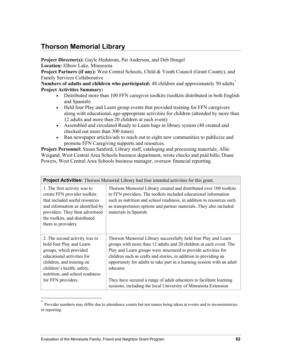# **Thorson Memorial Library**

**Project Director(s):** Gayle Hedstrom, Pat Anderson, and Deb Hengel

**Location:** Elbow Lake, Minnesota

**Project Partners (if any):** West Central Schools, Child & Youth Council (Grant County), and Family Services Collaborative

**Numbers of adults and children who participated:** 48 children and approximately 50 adults\* **Project Activities Summary:**

- Distributed more than 100 FFN caregiver toolkits (toolkits distributed in both English and Spanish)
- Held four Play and Learn group events that provided training for FFN caregivers along with educational, age-appropriate activities for children (attended by more than 12 adults and more than 20 children at each event)
- Assembled and circulated Ready to Learn bags in library system (40 created and checked out more than 300 times)
- Ran newspaper articles/ads to reach out to eight new communities to publicize and promote FFN Caregiving supports and resources.

**Project Personnel:** Susan Sanford, Library staff, cataloging and processing materials; Allie Weigand, West Central Area Schools business department, wrote checks and paid bills; Diane Powers, West Central Area Schools business manager, oversaw financial reporting.

| <b>Project Activities:</b> Thorson Memorial Library had four intended activities for this grant.                                                                                                                                      |                                                                                                                                                                                                                                                                                                                                                                                                                                                                                                               |  |
|---------------------------------------------------------------------------------------------------------------------------------------------------------------------------------------------------------------------------------------|---------------------------------------------------------------------------------------------------------------------------------------------------------------------------------------------------------------------------------------------------------------------------------------------------------------------------------------------------------------------------------------------------------------------------------------------------------------------------------------------------------------|--|
| 1. The first activity was to<br>create FFN provider toolkits<br>that included useful resources<br>and information as identified by<br>providers. They then advertised<br>the toolkits, and distributed<br>them to providers.          | Thorson Memorial Library created and distributed over 100 toolkits<br>to FFN providers. The toolkits included educational information<br>such as nutrition and school readiness, in addition to resources such<br>as transportation options and partner materials. They also included<br>materials in Spanish.                                                                                                                                                                                                |  |
| 2. The second activity was to<br>hold four Play and Learn<br>groups, which provided<br>educational activities for<br>children, and training on<br>children's health, safety,<br>nutrition, and school readiness<br>for FFN providers. | Thorson Memorial Library successfully held four Play and Learn<br>groups with more than 12 adults and 20 children at each event. The<br>Play and Learn groups were structured to provide activities for<br>children such as crafts and stories, in addition to providing an<br>opportunity for adults to take part in a learning session with an adult<br>educator.<br>They have secured a range of adult educators to facilitate learning<br>sessions, including the local University of Minnesota Extension |  |

Provider numbers may differ due to attendance counts but not names being taken at events and to inconsistencies in reporting.

l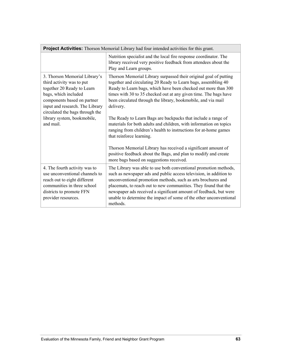| Project Activities: Thorson Memorial Library had four intended activities for this grant.                                                                                                                                                                         |                                                                                                                                                                                                                                                                                                                                                                                                                                                                                                                                                                                                                                                                                                                                                                                |  |
|-------------------------------------------------------------------------------------------------------------------------------------------------------------------------------------------------------------------------------------------------------------------|--------------------------------------------------------------------------------------------------------------------------------------------------------------------------------------------------------------------------------------------------------------------------------------------------------------------------------------------------------------------------------------------------------------------------------------------------------------------------------------------------------------------------------------------------------------------------------------------------------------------------------------------------------------------------------------------------------------------------------------------------------------------------------|--|
|                                                                                                                                                                                                                                                                   | Nutrition specialist and the local fire response coordinator. The<br>library received very positive feedback from attendees about the<br>Play and Learn groups.                                                                                                                                                                                                                                                                                                                                                                                                                                                                                                                                                                                                                |  |
| 3. Thorson Memorial Library's<br>third activity was to put<br>together 20 Ready to Learn<br>bags, which included<br>components based on partner<br>input and research. The Library<br>circulated the bags through the<br>library system, bookmobile,<br>and mail. | Thorson Memorial Library surpassed their original goal of putting<br>together and circulating 20 Ready to Learn bags, assembling 40<br>Ready to Learn bags, which have been checked out more than 300<br>times with 30 to 35 checked out at any given time. The bags have<br>been circulated through the library, bookmobile, and via mail<br>delivery.<br>The Ready to Learn Bags are backpacks that include a range of<br>materials for both adults and children, with information on topics<br>ranging from children's health to instructions for at-home games<br>that reinforce learning.<br>Thorson Memorial Library has received a significant amount of<br>positive feedback about the Bags, and plan to modify and create<br>more bags based on suggestions received. |  |
| 4. The fourth activity was to<br>use unconventional channels to<br>reach out to eight different<br>communities in three school<br>districts to promote FFN<br>provider resources.                                                                                 | The Library was able to use both conventional promotion methods,<br>such as newspaper ads and public access television, in addition to<br>unconventional promotion methods, such as arts brochures and<br>placemats, to reach out to new communities. They found that the<br>newspaper ads received a significant amount of feedback, but were<br>unable to determine the impact of some of the other unconventional<br>methods.                                                                                                                                                                                                                                                                                                                                               |  |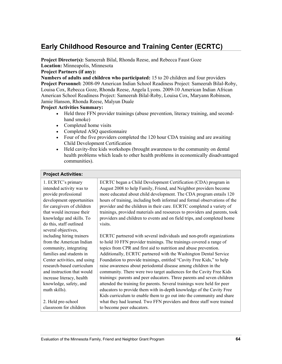# **Early Childhood Resource and Training Center (ECRTC)**

**Project Director(s):** Sameerah Bilal, Rhonda Reese, and Rebecca Faust Goze **Location:** Minneapolis, Minnesota

### **Project Partners (if any):**

**Numbers of adults and children who participated:** 15 to 20 children and four providers **Project Personnel:** 2008-09 American Indian School Readiness Project: Sameerah Bilal-Roby, Louisa Cox, Rebecca Goze, Rhonda Reese, Angela Lyons. 2009-10 American Indian African American School Readiness Project: Sameerah Bilal-Roby, Louisa Cox, Maryann Robinson, Jamie Hanson, Rhonda Reese, Malyun Duale

#### **Project Activities Summary:**

- Held three FFN provider trainings (abuse prevention, literacy training, and secondhand smoke)
- Completed home visits
- Completed ASQ questionnaire
- Four of the five providers completed the 120 hour CDA training and are awaiting Child Development Certification
- Held cavity-free kids workshops (brought awareness to the community on dental health problems which leads to other health problems in economically disadvantaged communities).

#### **Project Activities:**

1. ECRTC's primary intended activity was to provide professional development opportunities for caregivers of children that would increase their knowledge and skills. To do this, staff outlined several objectives, including hiring trainers from the American Indian community, integrating families and students in Center activities, and using research-based curriculum and instruction that would increase literacy, health knowledge, safety, and math skills).

2. Held pre-school classroom for children ECRTC began a Child Development Certification (CDA) program in August 2008 to help Family, Friend, and Neighbor providers become more educated about child development. The CDA program entails 120 hours of training, including both informal and formal observations of the provider and the children in their care. ECRTC completed a variety of trainings, provided materials and resources to providers and parents, took providers and children to events and on field trips, and completed home visits.

ECRTC partnered with several individuals and non-profit organizations to hold 10 FFN provider trainings. The trainings covered a range of topics from CPR and first aid to nutrition and abuse prevention. Additionally, ECRTC partnered with the Washington Dental Service Foundation to provide trainings, entitled "Cavity Free Kids," to help raise awareness about periodontal disease among children in the community. There were two target audiences for the Cavity Free Kids trainings: parents and peer educators. Three parents and seven children attended the training for parents. Several trainings were held for peer educators to provide them with in-depth knowledge of the Cavity Free Kids curriculum to enable them to go out into the community and share what they had learned. Two FFN providers and three staff were trained to become peer educators.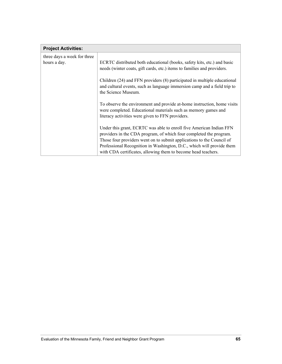| <b>Project Activities:</b>                  |                                                                                                                                                                                                                                                                                                                                                              |
|---------------------------------------------|--------------------------------------------------------------------------------------------------------------------------------------------------------------------------------------------------------------------------------------------------------------------------------------------------------------------------------------------------------------|
| three days a week for three<br>hours a day. | ECRTC distributed both educational (books, safety kits, etc.) and basic<br>needs (winter coats, gift cards, etc.) items to families and providers.                                                                                                                                                                                                           |
|                                             | Children (24) and FFN providers (8) participated in multiple educational<br>and cultural events, such as language immersion camp and a field trip to<br>the Science Museum.                                                                                                                                                                                  |
|                                             | To observe the environment and provide at-home instruction, home visits<br>were completed. Educational materials such as memory games and<br>literacy activities were given to FFN providers.                                                                                                                                                                |
|                                             | Under this grant, ECRTC was able to enroll five American Indian FFN<br>providers in the CDA program, of which four completed the program.<br>Those four providers went on to submit applications to the Council of<br>Professional Recognition in Washington, D.C., which will provide them<br>with CDA certificates, allowing them to become head teachers. |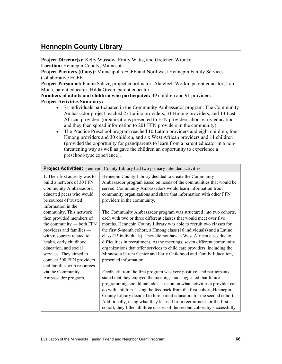# **Hennepin County Library**

**Project Director(s):** Kelly Wussow, Emily Watts, and Gretchen Wronka **Location:** Hennepin County, Minnesota

**Project Partners (if any):** Minneapolis ECFE and Northwest Hennepin Family Services Collaborative ECFE

**Project Personnel:** Paulie Salazr, project coordinator; Atalelech Worku, parent educator; Lao Moua, parent educator; Hilda Green, parent educator

**Numbers of adults and children who participated:** 49 children and 91 providers **Project Activities Summary:**

- 71 individuals participated in the Community Ambassador program. The Community Ambassador project reached 27 Latino providers, 31 Hmong providers, and 13 East African providers (organizations presented to FFN providers about early education and they then spread information to 201 FFN providers in the community).
- The Practice Preschool program reached 10 Latino providers and eight children, four Hmong providers and 30 children, and six West African providers and 11 children (provided the opportunity for grandparents to learn from a parent educator in a nonthreatening way as well as gave the children an opportunity to experience a preschool-type experience).

| 1. Their first activity was to | Hennepin County Library decided to create the Community                    |
|--------------------------------|----------------------------------------------------------------------------|
| build a network of 30 FFN      | Ambassador program based on needs of the communities that would be         |
| Community Ambassadors,         | served. Community Ambassadors would learn information from                 |
| educated peers who would       | community organizations and share that information with other FFN          |
| be sources of trusted          | providers in the community.                                                |
| information in the             |                                                                            |
| community. This network        | The Community Ambassador program was structured into two cohorts,          |
| then provided members of       | each with two or three different classes that would meet over five         |
| the community — both FFN       | months. Hennepin County Library was able to recruit two classes for        |
| providers and families -       | the first 5-month cohort, a Hmong class (16 individuals) and a Latino      |
| with resources related to      | class (13 individuals). They did not have a West African class due to      |
| health, early childhood        | difficulties in recruitment. At the meetings, seven different community    |
| education, and social          | organizations that offer services to child care providers, including the   |
| services. They aimed to        | Minnesota Parent Center and Early Childhood and Family Education,          |
| connect 300 FFN providers      | presented information.                                                     |
| and families with resources    |                                                                            |
| via the Community              | Feedback from the first program was very positive, and participants        |
| Ambassador program.            | stated that they enjoyed the meetings and suggested that future            |
|                                | programming should include a session on what activities a provider can     |
|                                | do with children. Using the feedback from the first cohort, Hennepin       |
|                                | County Library decided to hire parent educators for the second cohort.     |
|                                | Additionally, using what they learned from recruitment for the first       |
|                                | cohort, they filled all three classes of the second cohort by successfully |

**Project Activities:** Hennepin County Library had two primary intended activities.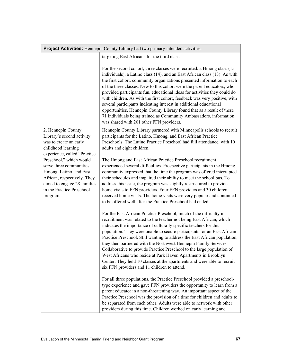| <b>Project Activities:</b> Hennepin County Library had two primary intended activities.                                                                                                                                                                                                                                  |                                                                                                                                                                                                                                                                                                                                                                                                                                                                                                                                                                                                                                                                                                                                         |  |
|--------------------------------------------------------------------------------------------------------------------------------------------------------------------------------------------------------------------------------------------------------------------------------------------------------------------------|-----------------------------------------------------------------------------------------------------------------------------------------------------------------------------------------------------------------------------------------------------------------------------------------------------------------------------------------------------------------------------------------------------------------------------------------------------------------------------------------------------------------------------------------------------------------------------------------------------------------------------------------------------------------------------------------------------------------------------------------|--|
|                                                                                                                                                                                                                                                                                                                          | targeting East Africans for the third class.                                                                                                                                                                                                                                                                                                                                                                                                                                                                                                                                                                                                                                                                                            |  |
|                                                                                                                                                                                                                                                                                                                          | For the second cohort, three classes were recruited: a Hmong class (15)<br>individuals), a Latino class (14), and an East African class (13). As with<br>the first cohort, community organizations presented information to each<br>of the three classes. New to this cohort were the parent educators, who<br>provided participants fun, educational ideas for activities they could do<br>with children. As with the first cohort, feedback was very positive, with<br>several participants indicating interest in additional educational<br>opportunities. Hennepin County Library found that as a result of these<br>71 individuals being trained as Community Ambassadors, information<br>was shared with 201 other FFN providers. |  |
| 2. Hennepin County<br>Library's second activity<br>was to create an early<br>childhood learning<br>experience, called "Practice<br>Preschool," which would<br>serve three communities:<br>Hmong, Latino, and East<br>African, respectively. They<br>aimed to engage 28 families<br>in the Practice Preschool<br>program. | Hennepin County Library partnered with Minneapolis schools to recruit<br>participants for the Latino, Hmong, and East African Practice<br>Preschools. The Latino Practice Preschool had full attendance, with 10<br>adults and eight children.                                                                                                                                                                                                                                                                                                                                                                                                                                                                                          |  |
|                                                                                                                                                                                                                                                                                                                          | The Hmong and East African Practice Preschool recruitment<br>experienced several difficulties. Prospective participants in the Hmong<br>community expressed that the time the program was offered interrupted<br>their schedules and impaired their ability to meet the school bus. To<br>address this issue, the program was slightly restructured to provide<br>home visits to FFN providers. Four FFN providers and 30 children<br>received home visits. The home visits were very popular and continued<br>to be offered well after the Practice Preschool had ended.                                                                                                                                                               |  |
|                                                                                                                                                                                                                                                                                                                          | For the East African Practice Preschool, much of the difficulty in<br>recruitment was related to the teacher not being East African, which<br>indicates the importance of culturally specific teachers for this<br>population. They were unable to secure participants for an East African<br>Practice Preschool. Still wanting to address the East African population,<br>they then partnered with the Northwest Hennepin Family Services<br>Collaborative to provide Practice Preschool to the large population of<br>West Africans who reside at Park Haven Apartments in Brooklyn<br>Center. They held 10 classes at the apartments and were able to recruit<br>six FFN providers and 11 children to attend.                        |  |
|                                                                                                                                                                                                                                                                                                                          | For all three populations, the Practice Preschool provided a preschool-<br>type experience and gave FFN providers the opportunity to learn from a<br>parent educator in a non-threatening way. An important aspect of the<br>Practice Preschool was the provision of a time for children and adults to<br>be separated from each other. Adults were able to network with other<br>providers during this time. Children worked on early learning and                                                                                                                                                                                                                                                                                     |  |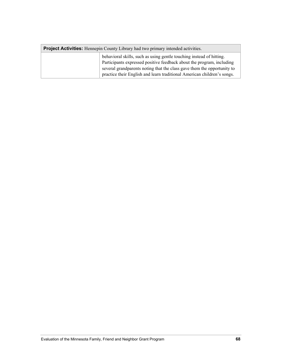| <b>Project Activities:</b> Hennepin County Library had two primary intended activities. |                                                                                                                                                                                                                                                                                                     |
|-----------------------------------------------------------------------------------------|-----------------------------------------------------------------------------------------------------------------------------------------------------------------------------------------------------------------------------------------------------------------------------------------------------|
|                                                                                         | behavioral skills, such as using gentle touching instead of hitting.<br>Participants expressed positive feedback about the program, including<br>several grandparents noting that the class gave them the opportunity to<br>practice their English and learn traditional American children's songs. |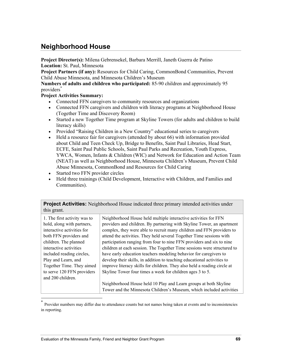## **Neighborhood House**

**Project Director(s):** Milena Gebrensekel, Barbara Merrill, Janeth Guerra de Patino **Location:** St. Paul, Minnesota

**Project Partners (if any):** Resources for Child Caring, CommonBond Communities, Prevent Child Abuse Minnesota, and Minnesota Children's Museum

**Numbers of adults and children who participated:** 85-90 children and approximately 95 providers<sup>\*</sup>

## **Project Activities Summary:**

- Connected FFN caregivers to community resources and organizations
- Connected FFN caregivers and children with literacy programs at Neighborhood House (Together Time and Discovery Room)
- Started a new Together Time program at Skyline Towers (for adults and children to build literacy skills)
- Provided "Raising Children in a New Country" educational series to caregivers
- Held a resource fair for caregivers (attended by about 66) with information provided about Child and Teen Check Up, Bridge to Benefits, Saint Paul Libraries, Head Start, ECFE, Saint Paul Public Schools, Saint Paul Parks and Recreation, Youth Express, YWCA, Women, Infants & Children (WIC) and Network for Education and Action Team (NEAT) as well as Neighborhood House, Minnesota Children's Museum, Prevent Child Abuse Minnesota, CommonBond and Resources for Child Caring
- Started two FFN provider circles
- Held three trainings (Child Development, Interactive with Children, and Families and Communities).

**Project Activities:** Neighborhood House indicated three primary intended activities under this grant.

| 1. The first activity was to<br>hold, along with partners, | Neighborhood House held multiple interactive activities for FFN<br>providers and children. By partnering with Skyline Tower, an apartment |
|------------------------------------------------------------|-------------------------------------------------------------------------------------------------------------------------------------------|
| interactive activities for                                 | complex, they were able to recruit many children and FFN providers to                                                                     |
| both FFN providers and                                     | attend the activities. They held several Together Time sessions with                                                                      |
| children. The planned                                      | participation ranging from four to nine FFN providers and six to nine                                                                     |
| interactive activities                                     | children at each session. The Together Time sessions were structured to                                                                   |
| included reading circles,                                  | have early education teachers modeling behavior for caregivers to                                                                         |
| Play and Learn, and                                        | develop their skills, in addition to teaching educational activities to                                                                   |
| Together Time. They aimed                                  | improve literacy skills for children. They also held a reading circle at                                                                  |
| to serve 120 FFN providers                                 | Skyline Tower four times a week for children ages 3 to 5.                                                                                 |
| and 200 children.                                          |                                                                                                                                           |
|                                                            | Neighborhood House held 10 Play and Learn groups at both Skyline                                                                          |
|                                                            | Tower and the Minnesota Children's Museum, which included activities                                                                      |

Provider numbers may differ due to attendance counts but not names being taken at events and to inconsistencies in reporting.

l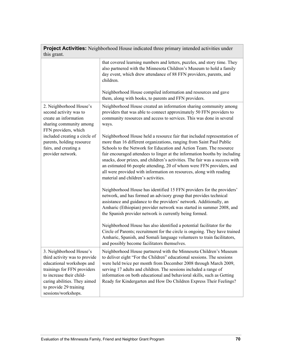| <b>Project Activities:</b> Neighborhood House indicated three primary intended activities under<br>this grant.                                                                                                                            |                                                                                                                                                                                                                                                                                                                                                                                                                                                                                                                                                                          |  |
|-------------------------------------------------------------------------------------------------------------------------------------------------------------------------------------------------------------------------------------------|--------------------------------------------------------------------------------------------------------------------------------------------------------------------------------------------------------------------------------------------------------------------------------------------------------------------------------------------------------------------------------------------------------------------------------------------------------------------------------------------------------------------------------------------------------------------------|--|
|                                                                                                                                                                                                                                           | that covered learning numbers and letters, puzzles, and story time. They<br>also partnered with the Minnesota Children's Museum to hold a family<br>day event, which drew attendance of 88 FFN providers, parents, and<br>children.<br>Neighborhood House compiled information and resources and gave                                                                                                                                                                                                                                                                    |  |
|                                                                                                                                                                                                                                           | them, along with books, to parents and FFN providers.                                                                                                                                                                                                                                                                                                                                                                                                                                                                                                                    |  |
| 2. Neighborhood House's<br>second activity was to<br>create an information<br>sharing community among<br>FFN providers, which<br>included creating a circle of<br>parents, holding resource<br>fairs, and creating a<br>provider network. | Neighborhood House created an information sharing community among<br>providers that was able to connect approximately 50 FFN providers to<br>community resources and access to services. This was done in several<br>ways.                                                                                                                                                                                                                                                                                                                                               |  |
|                                                                                                                                                                                                                                           | Neighborhood House held a resource fair that included representation of<br>more than 16 different organizations, ranging from Saint Paul Public<br>Schools to the Network for Education and Action Team. The resource<br>fair encouraged attendees to linger at the information booths by including<br>snacks, door prizes, and children's activities. The fair was a success with<br>an estimated 66 people attending, 20 of whom were FFN providers, and<br>all were provided with information on resources, along with reading<br>material and children's activities. |  |
|                                                                                                                                                                                                                                           | Neighborhood House has identified 15 FFN providers for the providers'<br>network, and has formed an advisory group that provides technical<br>assistance and guidance to the providers' network. Additionally, an<br>Amharic (Ethiopian) provider network was started in summer 2008, and<br>the Spanish provider network is currently being formed.                                                                                                                                                                                                                     |  |
|                                                                                                                                                                                                                                           | Neighborhood House has also identified a potential facilitator for the<br>Circle of Parents; recruitment for the circle is ongoing. They have trained<br>Amharic, Spanish, and Somali language volunteers to train facilitators,<br>and possibly become facilitators themselves.                                                                                                                                                                                                                                                                                         |  |
| 3. Neighborhood House's<br>third activity was to provide<br>educational workshops and<br>trainings for FFN providers<br>to increase their child-<br>caring abilities. They aimed<br>to provide 29 training<br>sessions/workshops.         | Neighborhood House partnered with the Minnesota Children's Museum<br>to deliver eight "For the Children" educational sessions. The sessions<br>were held twice per month from December 2008 through March 2009,<br>serving 17 adults and children. The sessions included a range of<br>information on both educational and behavioral skills, such as Getting<br>Ready for Kindergarten and How Do Children Express Their Feelings?                                                                                                                                      |  |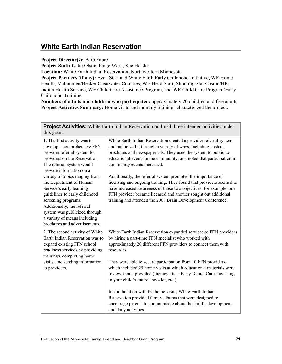## **White Earth Indian Reservation**

**Project Director(s):** Barb Fabre

**Project Staff:** Katie Olson, Paige Wark, Sue Heisler

**Location:** White Earth Indian Reservation, Northwestern Minnesota

**Project Partners (if any):** Even Start and White Earth Early Childhood Initiative, WE Home Health, Mahnomen/Becker/Clearwater Counties, WE Head Start, Shooting Star Casino/HR, Indian Health Service, WE Child Care Assistance Program, and WE Child Care Program/Early Childhood Training

**Numbers of adults and children who participated:** approximately 20 children and five adults **Project Activities Summary:** Home visits and monthly trainings characterized the project.

**Project Activities:** White Earth Indian Reservation outlined three intended activities under this grant.

| 1. The first activity was to<br>develop a comprehensive FFN<br>provider referral system for<br>providers on the Reservation.<br>The referral system would<br>provide information on a<br>variety of topics ranging from<br>the Department of Human<br>Service's early learning<br>guidelines to early childhood<br>screening programs.<br>Additionally, the referral<br>system was publicized through<br>a variety of means including | White Earth Indian Reservation created a provider referral system<br>and publicized it through a variety of ways, including posters,<br>brochures and newspaper ads. They used the system to publicize<br>educational events in the community, and noted that participation in<br>community events increased.<br>Additionally, the referral system promoted the importance of<br>licensing and ongoing training. They found that providers seemed to<br>have increased awareness of those two objectives; for example, one<br>FFN provider became licensed and another sought out additional<br>training and attended the 2008 Brain Development Conference.                      |
|---------------------------------------------------------------------------------------------------------------------------------------------------------------------------------------------------------------------------------------------------------------------------------------------------------------------------------------------------------------------------------------------------------------------------------------|-----------------------------------------------------------------------------------------------------------------------------------------------------------------------------------------------------------------------------------------------------------------------------------------------------------------------------------------------------------------------------------------------------------------------------------------------------------------------------------------------------------------------------------------------------------------------------------------------------------------------------------------------------------------------------------|
| brochures and advertisements.<br>2. The second activity of White<br>Earth Indian Reservation was to<br>expand existing FFN school<br>readiness services by providing<br>trainings, completing home<br>visits, and sending information<br>to providers.                                                                                                                                                                                | White Earth Indian Reservation expanded services to FFN providers<br>by hiring a part-time FFN specialist who worked with<br>approximately 20 different FFN providers to connect them with<br>resources.<br>They were able to secure participation from 10 FFN providers,<br>which included 25 home visits at which educational materials were<br>reviewed and provided (literacy kits, "Early Dental Care: Investing<br>in your child's future" booklet, etc.)<br>In combination with the home visits, White Earth Indian<br>Reservation provided family albums that were designed to<br>encourage parents to communicate about the child's development<br>and daily activities. |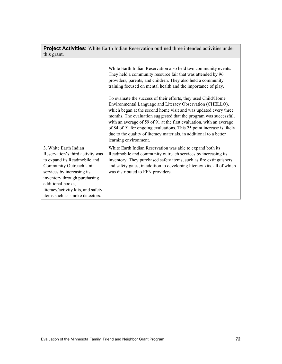| this grant.                                                                                                                                                                                                                                                                     |                                                                                                                                                                                                                                                                                                                                                                                                                                                                                                                                                                                                                                                                                                                                                                                         |  |
|---------------------------------------------------------------------------------------------------------------------------------------------------------------------------------------------------------------------------------------------------------------------------------|-----------------------------------------------------------------------------------------------------------------------------------------------------------------------------------------------------------------------------------------------------------------------------------------------------------------------------------------------------------------------------------------------------------------------------------------------------------------------------------------------------------------------------------------------------------------------------------------------------------------------------------------------------------------------------------------------------------------------------------------------------------------------------------------|--|
|                                                                                                                                                                                                                                                                                 | White Earth Indian Reservation also held two community events.<br>They held a community resource fair that was attended by 96<br>providers, parents, and children. They also held a community<br>training focused on mental health and the importance of play.<br>To evaluate the success of their efforts, they used Child/Home<br>Environmental Language and Literacy Observation (CHELLO),<br>which began at the second home visit and was updated every three<br>months. The evaluation suggested that the program was successful,<br>with an average of 59 of 91 at the first evaluation, with an average<br>of 84 of 91 for ongoing evaluations. This 25 point increase is likely<br>due to the quality of literacy materials, in additional to a better<br>learning environment. |  |
| 3. White Earth Indian<br>Reservation's third activity was<br>to expand its Readmobile and<br>Community Outreach Unit<br>services by increasing its<br>inventory through purchasing<br>additional books,<br>literacy/activity kits, and safety<br>items such as smoke detectors. | White Earth Indian Reservation was able to expand both its<br>Readmobile and community outreach services by increasing its<br>inventory. They purchased safety items, such as fire extinguishers<br>and safety gates, in addition to developing literacy kits, all of which<br>was distributed to FFN providers.                                                                                                                                                                                                                                                                                                                                                                                                                                                                        |  |

**Project Activities:** White Earth Indian Reservation outlined three intended activities under